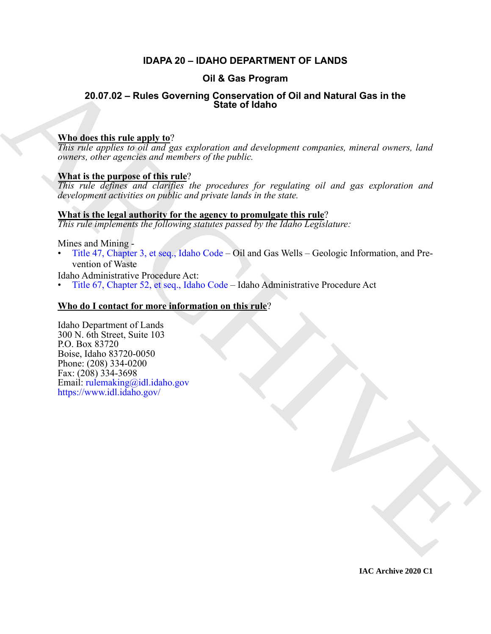# **IDAPA 20 – IDAHO DEPARTMENT OF LANDS**

# **Oil & Gas Program**

# **20.07.02 – Rules Governing Conservation of Oil and Natural Gas in the State of Idaho**

# **Who does this rule apply to**?

*This rule applies to oil and gas exploration and development companies, mineral owners, land owners, other agencies and members of the public.*

# **What is the purpose of this rule**?

*This rule defines and clarifies the procedures for regulating oil and gas exploration and development activities on public and private lands in the state.*

# **What is the legal authority for the agency to promulgate this rule**?

*This rule implements the following statutes passed by the Idaho Legislature:*

#### Mines and Mining -

• Title 47, Chapter 3, et seq., Idaho Code – Oil and Gas Wells – Geologic Information, and Prevention of Waste

Idaho Administrative Procedure Act:

• Title 67, Chapter 52, et seq., Idaho Code – Idaho Administrative Procedure Act

# **Who do I contact for more information on this rule**?

**COLUME CONSERVATION COLUME CONSERVATION OF COLUME CONSERVATION**<br> **A[RC](https://legislature.idaho.gov/statutesrules/idstat/Title47/T47CH3/)[HIV](mailto:rulemaking@idl.idaho.gov)E CONSERVATION** CONSERVATION CONSERVATION CONSERVATION CONSERVATION CONSERVATION CONSERVATION CONSERVATION CONSERVATION CONSERVATION CONSERVATION CO Idaho Department of Lands 300 N. 6th Street, Suite 103 P.O. Box 83720 Boise, Idaho 83720-0050 Phone: (208) 334-0200 Fax: (208) 334-3698 Email: rulemaking@idl.idaho.gov https://www.idl.idaho.gov/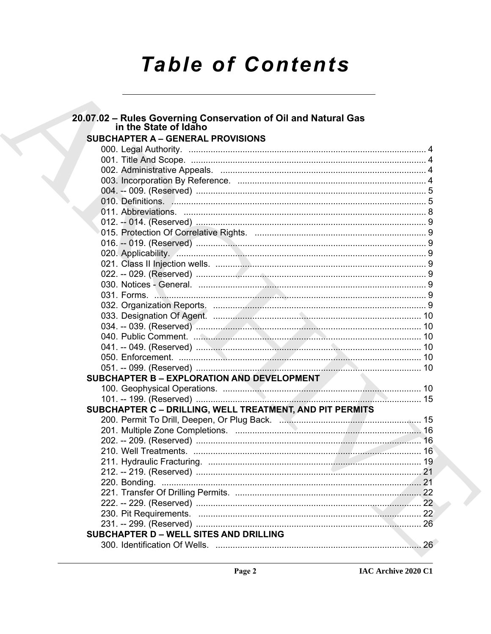# **Table of Contents**

# 20.07.02 - Rules Governing Conservation of Oil and Natural Gas in the State of Idaho **SUBCHAPTER A - GENERAL PROVISIONS** SUBCHAPTER B - EXPLORATION AND DEVELOPMENT SUBCHAPTER C - DRILLING, WELL TREATMENT, AND PIT PERMITS SUBCHAPTER D - WELL SITES AND DRILLING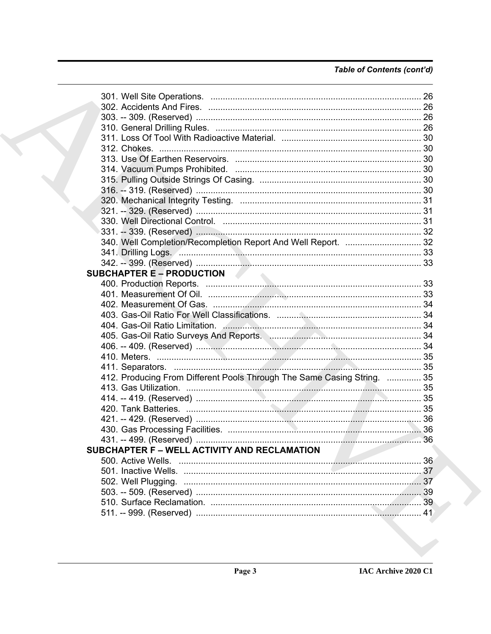# Table of Contents (cont'd)

|  | 340. Well Completion/Recompletion Report And Well Report.  32           |  |
|--|-------------------------------------------------------------------------|--|
|  |                                                                         |  |
|  |                                                                         |  |
|  | <b>SUBCHAPTER E-PRODUCTION</b>                                          |  |
|  |                                                                         |  |
|  |                                                                         |  |
|  |                                                                         |  |
|  |                                                                         |  |
|  |                                                                         |  |
|  | 405. Gas-Oil Ratio Surveys And Reports. Manuscription Manuscrittism 34  |  |
|  |                                                                         |  |
|  |                                                                         |  |
|  |                                                                         |  |
|  | 412. Producing From Different Pools Through The Same Casing String.  35 |  |
|  |                                                                         |  |
|  |                                                                         |  |
|  |                                                                         |  |
|  |                                                                         |  |
|  |                                                                         |  |
|  |                                                                         |  |
|  | SUBCHAPTER F - WELL ACTIVITY AND RECLAMATION                            |  |
|  |                                                                         |  |
|  |                                                                         |  |
|  |                                                                         |  |
|  |                                                                         |  |
|  |                                                                         |  |
|  |                                                                         |  |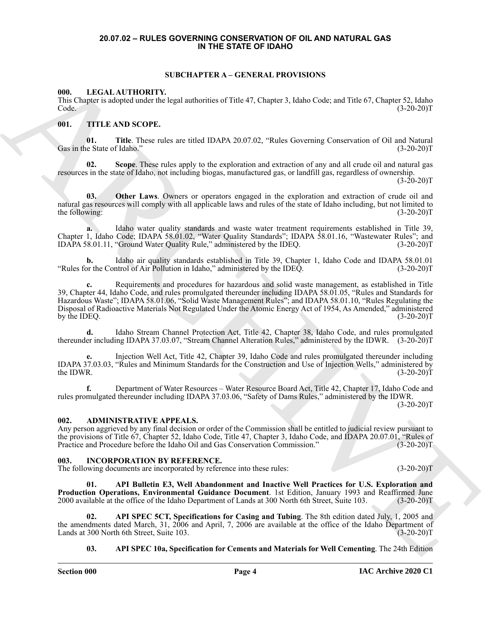#### <span id="page-3-0"></span>**20.07.02 – RULES GOVERNING CONSERVATION OF OIL AND NATURAL GAS IN THE STATE OF IDAHO**

#### <span id="page-3-7"></span>**SUBCHAPTER A – GENERAL PROVISIONS**

#### <span id="page-3-9"></span><span id="page-3-2"></span><span id="page-3-1"></span>**000. LEGAL AUTHORITY.**

This Chapter is adopted under the legal authorities of Title 47, Chapter 3, Idaho Code; and Title 67, Chapter 52, Idaho  $\text{Code.} \tag{3-20-20}$ 

#### <span id="page-3-10"></span><span id="page-3-3"></span>**001. TITLE AND SCOPE.**

**01. Title**. These rules are titled IDAPA 20.07.02, "Rules Governing Conservation of Oil and Natural Gas in the State of Idaho."

**02. Scope**. These rules apply to the exploration and extraction of any and all crude oil and natural gas resources in the state of Idaho, not including biogas, manufactured gas, or landfill gas, regardless of ownership.  $(3-20-20)T$ 

**03. Other Laws**. Owners or operators engaged in the exploration and extraction of crude oil and natural gas resources will comply with all applicable laws and rules of the state of Idaho including, but not limited to the following: (3-20-20)T

a. Idaho water quality standards and waste water treatment requirements established in Title 39, Chapter 1, Idaho Code; IDAPA 58.01.02, "Water Quality Standards"; IDAPA 58.01.16, "Wastewater Rules"; and IDAPA 58.01.11, "Ground Water Quality Rule," administered by the IDEQ. (3-20-20)T

**b.** Idaho air quality standards established in Title 39, Chapter 1, Idaho Code and IDAPA 58.01.01 or the Control of Air Pollution in Idaho," administered by the IDEQ. (3-20-20)T "Rules for the Control of Air Pollution in Idaho," administered by the IDEQ.

60. F. R. C. A. MITTIORITY, STEVART A GENERAL PROVISIONS<br>
This Sample is object in dept. The case of the main control in the same of the case of the same of the main control in the same of the same of the same of the same **c.** Requirements and procedures for hazardous and solid waste management, as established in Title 39, Chapter 44, Idaho Code, and rules promulgated thereunder including IDAPA 58.01.05, "Rules and Standards for Hazardous Waste"; IDAPA 58.01.06, "Solid Waste Management Rules"; and IDAPA 58.01.10, "Rules Regulating the Disposal of Radioactive Materials Not Regulated Under the Atomic Energy Act of 1954, As Amended," administered by the IDEQ.

**d.** Idaho Stream Channel Protection Act, Title 42, Chapter 38, Idaho Code, and rules promulgated thereunder including IDAPA 37.03.07, "Stream Channel Alteration Rules," administered by the IDWR. (3-20-20)T

**e.** Injection Well Act, Title 42, Chapter 39, Idaho Code and rules promulgated thereunder including IDAPA 37.03.03, "Rules and Minimum Standards for the Construction and Use of Injection Wells," administered by the IDWR.  $(3-20-20)T$ 

**f.** Department of Water Resources – Water Resource Board Act, Title 42, Chapter 17, Idaho Code and rules promulgated thereunder including IDAPA 37.03.06, "Safety of Dams Rules," administered by the IDWR.  $(3-20-20)T$ 

#### <span id="page-3-6"></span><span id="page-3-4"></span>**ADMINISTRATIVE APPEALS.**

Any person aggrieved by any final decision or order of the Commission shall be entitled to judicial review pursuant to the provisions of Title 67, Chapter 52, Idaho Code, Title 47, Chapter 3, Idaho Code, and IDAPA 20.07.01, "Rules of Practice and Procedure before the Idaho Oil and Gas Conservation Commission." (3-20-20)T Practice and Procedure before the Idaho Oil and Gas Conservation Commission."

#### <span id="page-3-8"></span><span id="page-3-5"></span>**003. INCORPORATION BY REFERENCE.**

The following documents are incorporated by reference into these rules: (3-20-20)T

**01. API Bulletin E3, Well Abandonment and Inactive Well Practices for U.S. Exploration and Production Operations, Environmental Guidance Document**. 1st Edition, January 1993 and Reaffirmed June 2000 available at the office of the Idaho Department of Lands at 300 North 6th Street, Suite 103. (3-20-20)T 2000 available at the office of the Idaho Department of Lands at 300 North 6th Street, Suite 103.

**02. API SPEC 5CT, Specifications for Casing and Tubing**. The 8th edition dated July, 1, 2005 and the amendments dated March, 31, 2006 and April, 7, 2006 are available at the office of the Idaho Department of Lands at 300 North 6th Street, Suite 103. (3-20-20) Lands at 300 North 6th Street, Suite 103.

**03. API SPEC 10a, Specification for Cements and Materials for Well Cementing**. The 24th Edition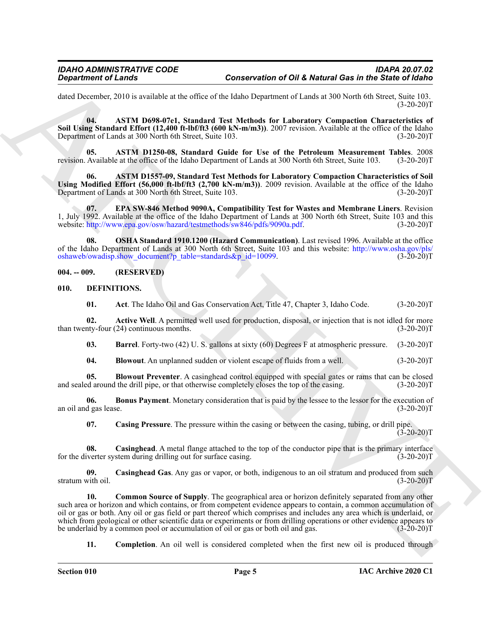dated December, 2010 is available at the office of the Idaho Department of Lands at 300 North 6th Street, Suite 103.  $(3-20-20)T$ 

**04. ASTM D698-07e1, Standard Test Methods for Laboratory Compaction Characteristics of Soil Using Standard Effort (12,400 ft-lbf/ft3 (600 kN-m/m3))**. 2007 revision. Available at the office of the Idaho Department of Lands at 300 North 6th Street, Suite 103. (3-20-20)T

**05. ASTM D1250-08, Standard Guide for Use of the Petroleum Measurement Tables**. 2008 revision. Available at the office of the Idaho Department of Lands at 300 North 6th Street, Suite 103.

**06. ASTM D1557-09, Standard Test Methods for Laboratory Compaction Characteristics of Soil Using Modified Effort (56,000 ft-lbf/ft3 (2,700 kN-m/m3))**. 2009 revision. Available at the office of the Idaho Department of Lands at 300 North 6th Street, Suite 103. (3-20-20)T Department of Lands at 300 North 6th Street, Suite 103.

**07. EPA SW-846 Method 9090A, Compatibility Test for Wastes and Membrane Liners**. Revision 1, July 1992. Available at the office of the Idaho Department of Lands at 300 North 6th Street, Suite 103 and this website: http://www.epa.gov/osw/hazard/testmethods/sw846/pdfs/9090a.pdf. (3-20-20)T website: http://www.epa.gov/osw/hazard/testmethods/sw846/pdfs/9090a.pdf.

**08. OSHA Standard 1910.1200 (Hazard Communication)**. Last revised 1996. Available at the office of the Idaho Department of Lands at 300 North 6th Street, Suite 103 and this website: http://www.osha.gov/pls/<br>oshaweb/owadisp.show document?p table=standards&p id=10099. (3-20-20)T oshaweb/owadisp.show\_document?p\_table=standards&p\_id=10099.

#### <span id="page-4-0"></span>**004. -- 009. (RESERVED)**

#### <span id="page-4-1"></span>**010. DEFINITIONS.**

<span id="page-4-4"></span><span id="page-4-3"></span><span id="page-4-2"></span>**01.** Act. The Idaho Oil and Gas Conservation Act, Title 47, Chapter 3, Idaho Code. (3-20-20)T

**02.** Active Well. A permitted well used for production, disposal, or injection that is not idled for more nty-four (24) continuous months. (3-20-20) than twenty-four  $(24)$  continuous months.

<span id="page-4-5"></span>**03. Barrel**. Forty-two (42) U. S. gallons at sixty (60) Degrees F at atmospheric pressure. (3-20-20)T

<span id="page-4-7"></span><span id="page-4-6"></span>**04.** Blowout. An unplanned sudden or violent escape of fluids from a well. (3-20-20)T

**05. Blowout Preventer**. A casinghead control equipped with special gates or rams that can be closed de around the drill pipe, or that otherwise completely closes the top of the casing. (3-20-20) and sealed around the drill pipe, or that otherwise completely closes the top of the casing.

**06.** Bonus Payment. Monetary consideration that is paid by the lessee to the lessor for the execution of d gas lease. (3-20-20) an oil and gas lease.

<span id="page-4-11"></span><span id="page-4-10"></span><span id="page-4-9"></span><span id="page-4-8"></span>**07. Casing Pressure**. The pressure within the casing or between the casing, tubing, or drill pipe.  $(3-20-20)T$ 

**08.** Casinghead. A metal flange attached to the top of the conductor pipe that is the primary interface iverter system during drilling out for surface casing. (3-20-20) for the diverter system during drilling out for surface casing.

<span id="page-4-12"></span>**09. Casinghead Gas**. Any gas or vapor, or both, indigenous to an oil stratum and produced from such stratum with oil.

Graphenics of Leady 1<br>
deal December of Leady 1<br>
deal December of Leady 1<br>
deal December of Leady 1<br>
deal December of Leady 1<br>
Sail December of Leady 1<br>
Sail December of Leady 1<br>
Sail December of Leady 1<br>
December of Lead **10. Common Source of Supply**. The geographical area or horizon definitely separated from any other such area or horizon and which contains, or from competent evidence appears to contain, a common accumulation of oil or gas or both. Any oil or gas field or part thereof which comprises and includes any area which is underlaid, or which from geological or other scientific data or experiments or from drilling operations or other evidence appears to<br>the underlaid by a common pool or accumulation of oil or gas or both oil and gas. (3-20-20) be underlaid by a common pool or accumulation of oil or gas or both oil and gas.

<span id="page-4-13"></span>**11.** Completion. An oil well is considered completed when the first new oil is produced through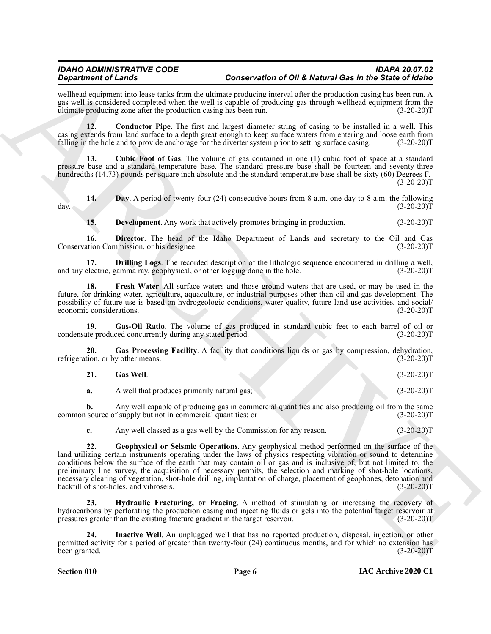wellhead equipment into lease tanks from the ultimate producing interval after the production casing has been run. A gas well is considered completed when the well is capable of producing gas through wellhead equipment from the ultimate producing zone after the production casing has been run. (3-20-20) ultimate producing zone after the production casing has been run.

<span id="page-5-0"></span>**12. Conductor Pipe**. The first and largest diameter string of casing to be installed in a well. This casing extends from land surface to a depth great enough to keep surface waters from entering and loose earth from falling in the hole and to provide anchorage for the diverter system prior to setting surface casing. (3-20-20)T

<span id="page-5-1"></span>**13. Cubic Foot of Gas**. The volume of gas contained in one (1) cubic foot of space at a standard pressure base and a standard temperature base. The standard pressure base shall be fourteen and seventy-three hundredths (14.73) pounds per square inch absolute and the standard temperature base shall be sixty (60) Degrees F.  $(3-20-20)T$ 

**14.** Day. A period of twenty-four (24) consecutive hours from 8 a.m. one day to 8 a.m. the following (3-20-20) day.  $(3-20-20)T$ 

<span id="page-5-5"></span><span id="page-5-4"></span><span id="page-5-3"></span><span id="page-5-2"></span>**15. Development**. Any work that actively promotes bringing in production. (3-20-20)T

**16. Director**. The head of the Idaho Department of Lands and secretary to the Oil and Gas ation Commission, or his designee. (3-20-20) Conservation Commission, or his designee.

**17. Drilling Logs**. The recorded description of the lithologic sequence encountered in drilling a well, electric, gamma ray, geophysical, or other logging done in the hole. (3-20-20) and any electric, gamma ray, geophysical, or other logging done in the hole.

<span id="page-5-6"></span>**18. Fresh Water**. All surface waters and those ground waters that are used, or may be used in the future, for drinking water, agriculture, aquaculture, or industrial purposes other than oil and gas development. The possibility of future use is based on hydrogeologic conditions, water quality, future land use activities, and social/ economic considerations. (3-20-20)T

<span id="page-5-9"></span>**19.** Gas-Oil Ratio. The volume of gas produced in standard cubic feet to each barrel of oil or the produced concurrently during any stated period. (3-20-20)<sup>T</sup> condensate produced concurrently during any stated period.

**20. Gas Processing Facility**. A facility that conditions liquids or gas by compression, dehydration, refrigeration, or by other means. (3-20-20)T

<span id="page-5-8"></span><span id="page-5-7"></span>

| $(3-20-20)T$<br><b>Gas Well.</b> |
|----------------------------------|
|----------------------------------|

**a.** A well that produces primarily natural gas; (3-20-20)T

**b.** Any well capable of producing gas in commercial quantities and also producing oil from the same source of supply but not in commercial quantities; or  $(3-20-20)$ common source of supply but not in commercial quantities; or

<span id="page-5-10"></span>**c.** Any well classed as a gas well by the Commission for any reason.  $(3-20-20)T$ 

**Solution of Lines and Solution 10 Of Metropolitics and Solution 10 Of Metro General enterpretation and the system of the Metro General enterpretation and the system of the System of the System of the System of the System 22. Geophysical or Seismic Operations**. Any geophysical method performed on the surface of the land utilizing certain instruments operating under the laws of physics respecting vibration or sound to determine conditions below the surface of the earth that may contain oil or gas and is inclusive of, but not limited to, the preliminary line survey, the acquisition of necessary permits, the selection and marking of shot-hole locations, necessary clearing of vegetation, shot-hole drilling, implantation of charge, placement of geophones, detonation and backfill of shot-holes, and vibroseis. (3-20-20) backfill of shot-holes, and vibroseis.

<span id="page-5-11"></span>**23. Hydraulic Fracturing, or Fracing**. A method of stimulating or increasing the recovery of hydrocarbons by perforating the production casing and injecting fluids or gels into the potential target reservoir at pressures greater than the existing fracture gradient in the target reservoir. (3-20-20)T

<span id="page-5-12"></span>**24. Inactive Well**. An unplugged well that has no reported production, disposal, injection, or other permitted activity for a period of greater than twenty-four (24) continuous months, and for which no extension has been granted. (3-20-20)T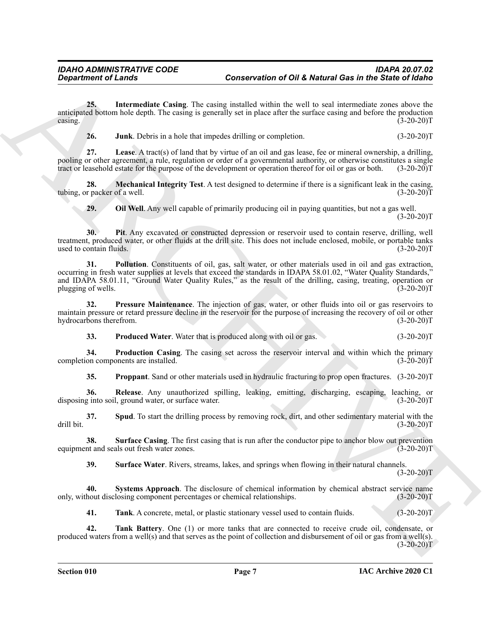**25. Intermediate Casing**. The casing installed within the well to seal intermediate zones above the anticipated bottom hole depth. The casing is generally set in place after the surface casing and before the production  $\alpha$  casing.  $(3-20-20)$ T

<span id="page-6-2"></span><span id="page-6-1"></span><span id="page-6-0"></span>**26. Junk**. Debris in a hole that impedes drilling or completion. (3-20-20)T

**27. Lease**. A tract(s) of land that by virtue of an oil and gas lease, fee or mineral ownership, a drilling, pooling or other agreement, a rule, regulation or order of a governmental authority, or otherwise constitutes a single tract or leasehold estate for the purpose of the development or operation thereof for oil or gas or both. (3-20-20)T

**28. Mechanical Integrity Test**. A test designed to determine if there is a significant leak in the casing, r packer of a well. (3-20-20) tubing, or packer of a well.

<span id="page-6-6"></span><span id="page-6-5"></span><span id="page-6-4"></span><span id="page-6-3"></span>**29. Oil Well**. Any well capable of primarily producing oil in paying quantities, but not a gas well.  $(3-20-20)T$ 

**30. Pit**. Any excavated or constructed depression or reservoir used to contain reserve, drilling, well treatment, produced water, or other fluids at the drill site. This does not include enclosed, mobile, or portable tanks used to contain fluids. (3-20-20)T

General enters and the same of Given and Given the same of Given Control Case in the Salein of Given and the same of Given and the same of the same of Given and the same of Given and the same of Given and the same of Give **31. Pollution**. Constituents of oil, gas, salt water, or other materials used in oil and gas extraction, occurring in fresh water supplies at levels that exceed the standards in IDAPA 58.01.02, "Water Quality Standards," and IDAPA 58.01.11, "Ground Water Quality Rules," as the result of the drilling, casing, treating, operation or plugging of wells. (3-20-20)T

**32. Pressure Maintenance**. The injection of gas, water, or other fluids into oil or gas reservoirs to maintain pressure or retard pressure decline in the reservoir for the purpose of increasing the recovery of oil or other<br>(3-20-20)T hydrocarbons therefrom.

<span id="page-6-9"></span><span id="page-6-8"></span><span id="page-6-7"></span>**33.** Produced Water. Water that is produced along with oil or gas. (3-20-20)T

**34. Production Casing**. The casing set across the reservoir interval and within which the primary completion components are installed. (3-20-20)T

<span id="page-6-12"></span><span id="page-6-11"></span><span id="page-6-10"></span>**35. Proppant**. Sand or other materials used in hydraulic fracturing to prop open fractures. (3-20-20)T

**36. Release**. Any unauthorized spilling, leaking, emitting, discharging, escaping, leaching, or g into soil, ground water, or surface water. (3-20-20) disposing into soil, ground water, or surface water.

**37. Spud**. To start the drilling process by removing rock, dirt, and other sedimentary material with the (3-20-20) drill bit. (3-20-20)T

**38.** Surface Casing. The first casing that is run after the conductor pipe to anchor blow out prevention int and seals out fresh water zones. (3-20-20) equipment and seals out fresh water zones.

<span id="page-6-15"></span><span id="page-6-14"></span><span id="page-6-13"></span>**39. Surface Water**. Rivers, streams, lakes, and springs when flowing in their natural channels.

 $(3-20-20)T$ 

**40.** Systems Approach. The disclosure of chemical information by chemical abstract service name hout disclosing component percentages or chemical relationships. (3-20-20) only, without disclosing component percentages or chemical relationships.

<span id="page-6-17"></span><span id="page-6-16"></span>**41. Tank**. A concrete, metal, or plastic stationary vessel used to contain fluids. (3-20-20)T

**42. Tank Battery**. One (1) or more tanks that are connected to receive crude oil, condensate, or produced waters from a well(s) and that serves as the point of collection and disbursement of oil or gas from a well(s).  $(3-20-20)T$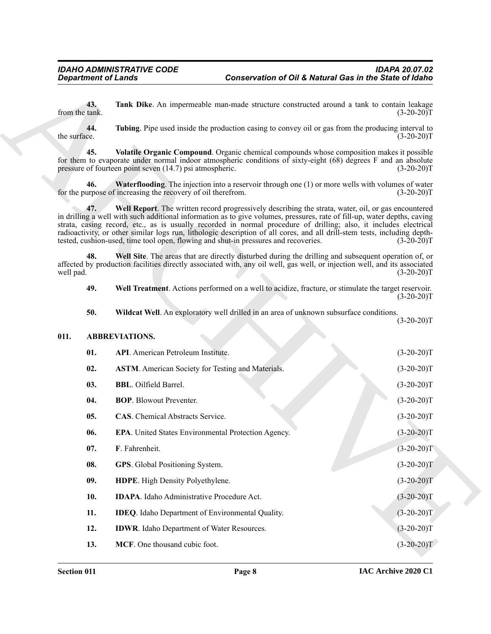#### <span id="page-7-12"></span><span id="page-7-11"></span><span id="page-7-10"></span><span id="page-7-9"></span><span id="page-7-4"></span><span id="page-7-3"></span><span id="page-7-2"></span><span id="page-7-1"></span><span id="page-7-0"></span>**011. ABBREVIATIONS.**

<span id="page-7-8"></span><span id="page-7-7"></span><span id="page-7-6"></span><span id="page-7-5"></span>

| <b>Department of Lands</b> |                                                                                     | Conservation of Oil & Natural Gas in the State of Idaho                                |                                                                                                                                                                                                                                                                                                                                                                                                                                                                                                   |  |
|----------------------------|-------------------------------------------------------------------------------------|----------------------------------------------------------------------------------------|---------------------------------------------------------------------------------------------------------------------------------------------------------------------------------------------------------------------------------------------------------------------------------------------------------------------------------------------------------------------------------------------------------------------------------------------------------------------------------------------------|--|
| 43.<br>from the tank.      |                                                                                     |                                                                                        | Tank Dike. An impermeable man-made structure constructed around a tank to contain leakage<br>$(3-20-20)T$                                                                                                                                                                                                                                                                                                                                                                                         |  |
| 44.<br>the surface.        |                                                                                     |                                                                                        | Tubing. Pipe used inside the production casing to convey oil or gas from the producing interval to<br>$(3-20-20)T$                                                                                                                                                                                                                                                                                                                                                                                |  |
| 45.                        | pressure of fourteen point seven (14.7) psi atmospheric.                            |                                                                                        | Volatile Organic Compound. Organic chemical compounds whose composition makes it possible<br>for them to evaporate under normal indoor atmospheric conditions of sixty-eight (68) degrees F and an absolute<br>$(3-20-20)T$                                                                                                                                                                                                                                                                       |  |
| 46.                        | for the purpose of increasing the recovery of oil therefrom.                        |                                                                                        | <b>Waterflooding.</b> The injection into a reservoir through one (1) or more wells with volumes of water<br>$(3-20-20)T$                                                                                                                                                                                                                                                                                                                                                                          |  |
| 47.                        | tested, cushion-used, time tool open, flowing and shut-in pressures and recoveries. |                                                                                        | Well Report. The written record progressively describing the strata, water, oil, or gas encountered<br>in drilling a well with such additional information as to give volumes, pressures, rate of fill-up, water depths, caving<br>strata, casing record, etc., as is usually recorded in normal procedure of drilling; also, it includes electrical<br>radioactivity, or other similar logs run, lithologic description of all cores, and all drill-stem tests, including depth-<br>$(3-20-20)T$ |  |
| 48.<br>well pad.           |                                                                                     |                                                                                        | Well Site. The areas that are directly disturbed during the drilling and subsequent operation of, or<br>affected by production facilities directly associated with, any oil well, gas well, or injection well, and its associated<br>$(3-20-20)T$                                                                                                                                                                                                                                                 |  |
| 49.                        |                                                                                     |                                                                                        | Well Treatment. Actions performed on a well to acidize, fracture, or stimulate the target reservoir.<br>$(3-20-20)T$                                                                                                                                                                                                                                                                                                                                                                              |  |
| 50.                        |                                                                                     | Wildcat Well. An exploratory well drilled in an area of unknown subsurface conditions. | $(3-20-20)T$                                                                                                                                                                                                                                                                                                                                                                                                                                                                                      |  |
| 011.                       | <b>ABBREVIATIONS.</b>                                                               |                                                                                        |                                                                                                                                                                                                                                                                                                                                                                                                                                                                                                   |  |
| 01.                        | <b>API.</b> American Petroleum Institute.                                           |                                                                                        | $(3-20-20)T$                                                                                                                                                                                                                                                                                                                                                                                                                                                                                      |  |
| 02.                        | <b>ASTM.</b> American Society for Testing and Materials.                            |                                                                                        | $(3-20-20)T$                                                                                                                                                                                                                                                                                                                                                                                                                                                                                      |  |
| 03.                        | <b>BBL.</b> Oilfield Barrel.                                                        |                                                                                        | $(3-20-20)T$                                                                                                                                                                                                                                                                                                                                                                                                                                                                                      |  |
| 04.                        | <b>BOP.</b> Blowout Preventer.                                                      |                                                                                        | $(3-20-20)T$                                                                                                                                                                                                                                                                                                                                                                                                                                                                                      |  |
| 05.                        | <b>CAS.</b> Chemical Abstracts Service.                                             |                                                                                        | $(3-20-20)T$                                                                                                                                                                                                                                                                                                                                                                                                                                                                                      |  |
| 06.                        | EPA. United States Environmental Protection Agency.                                 |                                                                                        | $(3-20-20)T$                                                                                                                                                                                                                                                                                                                                                                                                                                                                                      |  |
|                            | F. Fahrenheit.                                                                      |                                                                                        |                                                                                                                                                                                                                                                                                                                                                                                                                                                                                                   |  |
| 07.                        |                                                                                     |                                                                                        | $(3-20-20)T$                                                                                                                                                                                                                                                                                                                                                                                                                                                                                      |  |
| 08.                        | GPS. Global Positioning System.                                                     |                                                                                        | $(3-20-20)T$                                                                                                                                                                                                                                                                                                                                                                                                                                                                                      |  |
| 09.                        | HDPE. High Density Polyethylene.                                                    |                                                                                        | $(3-20-20)T$                                                                                                                                                                                                                                                                                                                                                                                                                                                                                      |  |
| 10.                        | <b>IDAPA</b> . Idaho Administrative Procedure Act.                                  |                                                                                        | $(3-20-20)T$                                                                                                                                                                                                                                                                                                                                                                                                                                                                                      |  |
| 11.                        | <b>IDEQ</b> . Idaho Department of Environmental Quality.                            |                                                                                        | $(3-20-20)T$                                                                                                                                                                                                                                                                                                                                                                                                                                                                                      |  |
| 12.                        | IDWR. Idaho Department of Water Resources.                                          |                                                                                        | $(3-20-20)T$                                                                                                                                                                                                                                                                                                                                                                                                                                                                                      |  |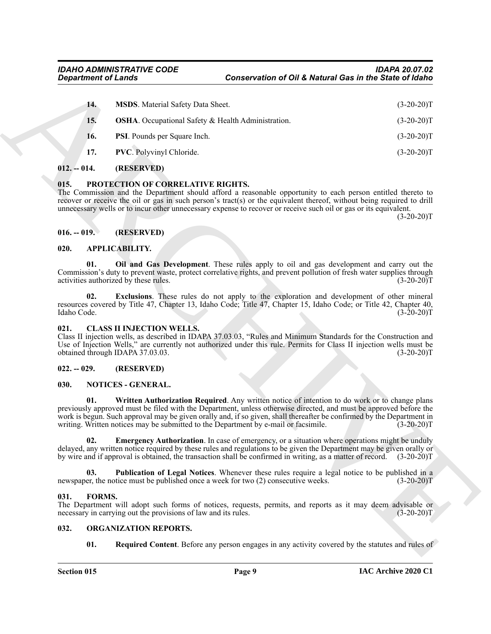| <b>Department of Lands</b> |                                                                      | Conservation of Oil & Natural Gas in the State of Idaho                                                                                                                                                                                                                                                                                                                                                                            |              |
|----------------------------|----------------------------------------------------------------------|------------------------------------------------------------------------------------------------------------------------------------------------------------------------------------------------------------------------------------------------------------------------------------------------------------------------------------------------------------------------------------------------------------------------------------|--------------|
| 14.                        | <b>MSDS</b> . Material Safety Data Sheet.                            |                                                                                                                                                                                                                                                                                                                                                                                                                                    | $(3-20-20)T$ |
| 15.                        | <b>OSHA</b> . Occupational Safety & Health Administration.           |                                                                                                                                                                                                                                                                                                                                                                                                                                    | $(3-20-20)T$ |
| 16.                        | PSI. Pounds per Square Inch.                                         |                                                                                                                                                                                                                                                                                                                                                                                                                                    | $(3-20-20)T$ |
| 17.                        | PVC. Polyvinyl Chloride.                                             |                                                                                                                                                                                                                                                                                                                                                                                                                                    | $(3-20-20)T$ |
| $012. - 014.$              | (RESERVED)                                                           |                                                                                                                                                                                                                                                                                                                                                                                                                                    |              |
| 015.                       | PROTECTION OF CORRELATIVE RIGHTS.                                    | The Commission and the Department should afford a reasonable opportunity to each person entitled thereto to<br>recover or receive the oil or gas in such person's tract(s) or the equivalent thereof, without being required to drill<br>unnecessary wells or to incur other unnecessary expense to recover or receive such oil or gas or its equivalent.                                                                          | $(3-20-20)T$ |
| $016. - 019.$              | (RESERVED)                                                           |                                                                                                                                                                                                                                                                                                                                                                                                                                    |              |
| 020.                       | APPLICABILITY.                                                       |                                                                                                                                                                                                                                                                                                                                                                                                                                    |              |
| 01.                        | activities authorized by these rules.                                | Oil and Gas Development. These rules apply to oil and gas development and carry out the<br>Commission's duty to prevent waste, protect correlative rights, and prevent pollution of fresh water supplies through                                                                                                                                                                                                                   | $(3-20-20)T$ |
| 02.<br>Idaho Code.         |                                                                      | <b>Exclusions.</b> These rules do not apply to the exploration and development of other mineral<br>resources covered by Title 47, Chapter 13, Idaho Code; Title 47, Chapter 15, Idaho Code; or Title 42, Chapter 40,                                                                                                                                                                                                               | $(3-20-20)T$ |
| 021.                       | <b>CLASS II INJECTION WELLS.</b><br>obtained through IDAPA 37.03.03. | Class II injection wells, as described in IDAPA 37.03.03, "Rules and Minimum Standards for the Construction and<br>Use of Injection Wells," are currently not authorized under this rule. Permits for Class II injection wells must be                                                                                                                                                                                             | $(3-20-20)T$ |
| $022. - 029.$              | (RESERVED)                                                           |                                                                                                                                                                                                                                                                                                                                                                                                                                    |              |
| 030.                       | NOTICES - GENERAL.                                                   |                                                                                                                                                                                                                                                                                                                                                                                                                                    |              |
| 01.                        |                                                                      | Written Authorization Required. Any written notice of intention to do work or to change plans<br>previously approved must be filed with the Department, unless otherwise directed, and must be approved before the<br>work is begun. Such approval may be given orally and, if so given, shall thereafter be confirmed by the Department in<br>writing. Written notices may be submitted to the Department by e-mail or facsimile. | $(3-20-20)T$ |
| 02.                        |                                                                      | <b>Emergency Authorization</b> . In case of emergency, or a situation where operations might be unduly<br>delayed, any written notice required by these rules and regulations to be given the Department may be given orally or<br>by wire and if approval is obtained, the transaction shall be confirmed in writing, as a matter of record. (3-20-20)T                                                                           |              |
| 03.                        |                                                                      | <b>Publication of Legal Notices.</b> Whenever these rules require a legal notice to be published in a<br>newspaper, the notice must be published once a week for two (2) consecutive weeks.                                                                                                                                                                                                                                        | $(3-20-20)T$ |
| FORMS.<br>031.             | necessary in carrying out the provisions of law and its rules.       | The Department will adopt such forms of notices, requests, permits, and reports as it may deem advisable or                                                                                                                                                                                                                                                                                                                        | $(3-20-20)T$ |
| 032.                       | ORGANIZATION REPORTS.                                                |                                                                                                                                                                                                                                                                                                                                                                                                                                    |              |
|                            |                                                                      |                                                                                                                                                                                                                                                                                                                                                                                                                                    |              |

#### <span id="page-8-9"></span><span id="page-8-0"></span>**012. -- 014. (RESERVED)**

#### <span id="page-8-1"></span>**015. PROTECTION OF CORRELATIVE RIGHTS.**

#### <span id="page-8-2"></span>**016. -- 019. (RESERVED)**

#### <span id="page-8-12"></span><span id="page-8-10"></span><span id="page-8-3"></span>**020. APPLICABILITY.**

#### <span id="page-8-13"></span><span id="page-8-11"></span><span id="page-8-4"></span>**021. CLASS II INJECTION WELLS.**

#### <span id="page-8-5"></span>**022. -- 029. (RESERVED)**

#### <span id="page-8-18"></span><span id="page-8-16"></span><span id="page-8-15"></span><span id="page-8-6"></span>**030. NOTICES - GENERAL.**

#### <span id="page-8-17"></span><span id="page-8-14"></span><span id="page-8-7"></span>**031. FORMS.**

#### <span id="page-8-20"></span><span id="page-8-19"></span><span id="page-8-8"></span>**032. ORGANIZATION REPORTS.**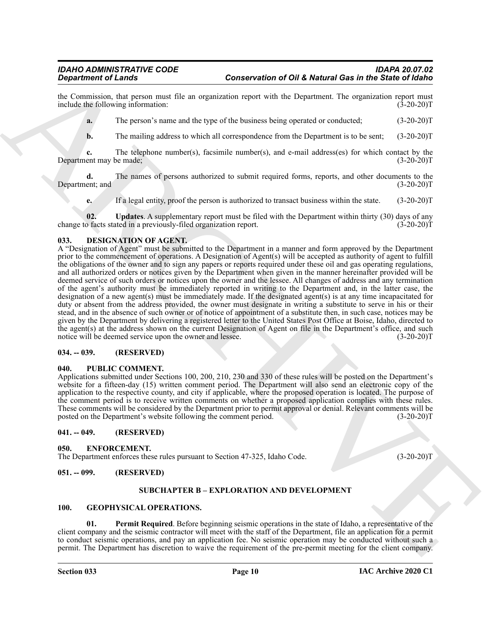the Commission, that person must file an organization report with the Department. The organization report must<br>include the following information: (3-20-20)T include the following information:

**a.** The person's name and the type of the business being operated or conducted;  $(3-20-20)T$ 

**b.** The mailing address to which all correspondence from the Department is to be sent;  $(3-20-20)T$ 

**c.** The telephone number(s), facsimile number(s), and e-mail address(es) for which contact by the ent may be made: (3-20-20) Department may be made;

**d.** The names of persons authorized to submit required forms, reports, and other documents to the ent; and  $(3-20-20)$ T Department; and

<span id="page-9-13"></span>**e.** If a legal entity, proof the person is authorized to transact business within the state. (3-20-20)T

**02. Updates**. A supplementary report must be filed with the Department within thirty (30) days of any of acts stated in a previously-filed organization report. (30) (3-20-20) change to facts stated in a previously-filed organization report.

#### <span id="page-9-8"></span><span id="page-9-0"></span>**033. DESIGNATION OF AGENT.**

**Conservation of OHE Metanic Generalistics Conservation of OHE Metanic Generalistics in the Sixtee of Generalistics and<br>
inc. Communic, link powers and its expected meta-based and the Department He was independent of the** A "Designation of Agent" must be submitted to the Department in a manner and form approved by the Department prior to the commencement of operations. A Designation of Agent(s) will be accepted as authority of agent to fulfill the obligations of the owner and to sign any papers or reports required under these oil and gas operating regulations, and all authorized orders or notices given by the Department when given in the manner hereinafter provided will be deemed service of such orders or notices upon the owner and the lessee. All changes of address and any termination of the agent's authority must be immediately reported in writing to the Department and, in the latter case, the designation of a new agent(s) must be immediately made. If the designated agent(s) is at any time incapacitated for duty or absent from the address provided, the owner must designate in writing a substitute to serve in his or their stead, and in the absence of such owner or of notice of appointment of a substitute then, in such case, notices may be given by the Department by delivering a registered letter to the United States Post Office at Boise, Idaho, directed to the agent(s) at the address shown on the current Designation of Agent on file in the Department's office, and such notice will be deemed service upon the owner and lessee. (3-20-20) notice will be deemed service upon the owner and lessee.

#### <span id="page-9-1"></span>**034. -- 039. (RESERVED)**

#### <span id="page-9-14"></span><span id="page-9-2"></span>**040. PUBLIC COMMENT.**

Applications submitted under Sections 100, 200, 210, 230 and 330 of these rules will be posted on the Department's website for a fifteen-day (15) written comment period. The Department will also send an electronic copy of the application to the respective county, and city if applicable, where the proposed operation is located. The purpose of the comment period is to receive written comments on whether a proposed application complies with these rules. These comments will be considered by the Department prior to permit approval or denial. Relevant comments will be posted on the Department's website following the comment period. (3-20-20)T

#### <span id="page-9-3"></span>**041. -- 049. (RESERVED)**

<span id="page-9-9"></span><span id="page-9-4"></span>**050. ENFORCEMENT.**

The Department enforces these rules pursuant to Section 47-325, Idaho Code. (3-20-20)T

#### <span id="page-9-6"></span><span id="page-9-5"></span>**051. -- 099. (RESERVED)**

#### <span id="page-9-12"></span><span id="page-9-10"></span>**SUBCHAPTER B – EXPLORATION AND DEVELOPMENT**

#### <span id="page-9-11"></span><span id="page-9-7"></span>**100. GEOPHYSICAL OPERATIONS.**

**Permit Required**. Before beginning seismic operations in the state of Idaho, a representative of the client company and the seismic contractor will meet with the staff of the Department, file an application for a permit to conduct seismic operations, and pay an application fee. No seismic operation may be conducted without such a permit. The Department has discretion to waive the requirement of the pre-permit meeting for the client company.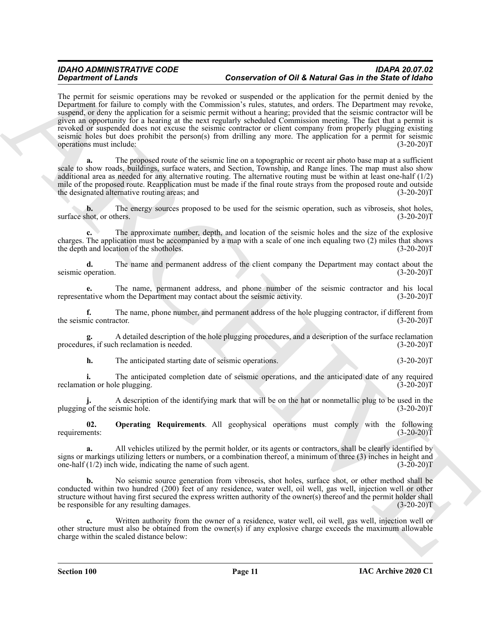**Structure of Law since the Control Control Control Control Control Control Control Control Control Control Control Control Control Control Control Control Control Control Control Control Control Control Control Control C** The permit for seismic operations may be revoked or suspended or the application for the permit denied by the Department for failure to comply with the Commission's rules, statutes, and orders. The Department may revoke, suspend, or deny the application for a seismic permit without a hearing; provided that the seismic contractor will be given an opportunity for a hearing at the next regularly scheduled Commission meeting. The fact that a permit is revoked or suspended does not excuse the seismic contractor or client company from properly plugging existing seismic holes but does prohibit the person(s) from drilling any more. The application for a permit for seismic operations must include: (3-20-20) operations must include:

**a.** The proposed route of the seismic line on a topographic or recent air photo base map at a sufficient scale to show roads, buildings, surface waters, and Section, Township, and Range lines. The map must also show additional area as needed for any alternative routing. The alternative routing must be within at least one-half (1/2) mile of the proposed route. Reapplication must be made if the final route strays from the proposed route and outside the designated alternative routing areas; and (3-20-20) the designated alternative routing areas; and

**b.** The energy sources proposed to be used for the seismic operation, such as vibroseis, shot holes, hot, or others. (3-20-20) surface shot, or others.

**c.** The approximate number, depth, and location of the seismic holes and the size of the explosive charges. The application must be accompanied by a map with a scale of one inch equaling two (2) miles that shows the depth and location of the shotholes. (3-20-20)T

**d.** The name and permanent address of the client company the Department may contact about the operation. (3-20-20)T seismic operation.

The name, permanent address, and phone number of the seismic contractor and his local om the Department may contact about the seismic activity. (3-20-20)<sup>T</sup> representative whom the Department may contact about the seismic activity.

**f.** The name, phone number, and permanent address of the hole plugging contractor, if different from inc contractor. (3-20-20)T the seismic contractor.

**g.** A detailed description of the hole plugging procedures, and a description of the surface reclamation procedures, if such reclamation is needed.

**h.** The anticipated starting date of seismic operations. (3-20-20)T

**i.** The anticipated completion date of seismic operations, and the anticipated date of any required ion or hole plugging. (3-20-20) reclamation or hole plugging.

A description of the identifying mark that will be on the hat or nonmetallic plug to be used in the ismic hole. (3-20-20)<sup>T</sup> plugging of the seismic hole.

<span id="page-10-0"></span>**02. Operating Requirements**. All geophysical operations must comply with the following requirements: (3-20-20)T

**a.** All vehicles utilized by the permit holder, or its agents or contractors, shall be clearly identified by signs or markings utilizing letters or numbers, or a combination thereof, a minimum of three (3) inches in height and one-half  $(1/2)$  inch wide, indicating the name of such agent.  $(3-20-20)$ T

**b.** No seismic source generation from vibroseis, shot holes, surface shot, or other method shall be conducted within two hundred (200) feet of any residence, water well, oil well, gas well, injection well or other structure without having first secured the express written authority of the owner(s) thereof and the permit holder shall be responsible for any resulting damages. (3-20-20)T

**c.** Written authority from the owner of a residence, water well, oil well, gas well, injection well or other structure must also be obtained from the owner(s) if any explosive charge exceeds the maximum allowable charge within the scaled distance below: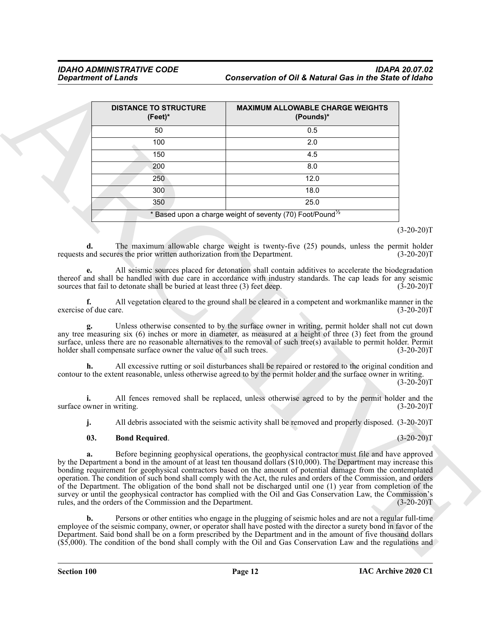| <b>DISTANCE TO STRUCTURE</b><br>$(Feet)^*$                                      | <b>MAXIMUM ALLOWABLE CHARGE WEIGHTS</b><br>(Pounds)*                                                                                                                                                                                                                                                                                                                                                                                                                                                                                                                                                                                                                                                                  |
|---------------------------------------------------------------------------------|-----------------------------------------------------------------------------------------------------------------------------------------------------------------------------------------------------------------------------------------------------------------------------------------------------------------------------------------------------------------------------------------------------------------------------------------------------------------------------------------------------------------------------------------------------------------------------------------------------------------------------------------------------------------------------------------------------------------------|
| 50                                                                              | 0.5                                                                                                                                                                                                                                                                                                                                                                                                                                                                                                                                                                                                                                                                                                                   |
| 100                                                                             | 2.0                                                                                                                                                                                                                                                                                                                                                                                                                                                                                                                                                                                                                                                                                                                   |
| 150                                                                             | 4.5                                                                                                                                                                                                                                                                                                                                                                                                                                                                                                                                                                                                                                                                                                                   |
| 200                                                                             | 8.0                                                                                                                                                                                                                                                                                                                                                                                                                                                                                                                                                                                                                                                                                                                   |
| 250                                                                             | 12.0                                                                                                                                                                                                                                                                                                                                                                                                                                                                                                                                                                                                                                                                                                                  |
| 300                                                                             | 18.0                                                                                                                                                                                                                                                                                                                                                                                                                                                                                                                                                                                                                                                                                                                  |
| 350                                                                             | 25.0                                                                                                                                                                                                                                                                                                                                                                                                                                                                                                                                                                                                                                                                                                                  |
|                                                                                 | * Based upon a charge weight of seventy (70) Foot/Pound <sup><math>\frac{1}{2}</math></sup>                                                                                                                                                                                                                                                                                                                                                                                                                                                                                                                                                                                                                           |
|                                                                                 | $(3-20-20)T$                                                                                                                                                                                                                                                                                                                                                                                                                                                                                                                                                                                                                                                                                                          |
| d.<br>requests and secures the prior written authorization from the Department. | The maximum allowable charge weight is twenty-five (25) pounds, unless the permit holder<br>$(3-20-20)T$                                                                                                                                                                                                                                                                                                                                                                                                                                                                                                                                                                                                              |
| sources that fail to detonate shall be buried at least three (3) feet deep.     | All seismic sources placed for detonation shall contain additives to accelerate the biodegradation<br>thereof and shall be handled with due care in accordance with industry standards. The cap leads for any seismic<br>$(3-20-20)T$                                                                                                                                                                                                                                                                                                                                                                                                                                                                                 |
| f.<br>exercise of due care.                                                     | All vegetation cleared to the ground shall be cleared in a competent and workmanlike manner in the<br>$(3-20-20)T$                                                                                                                                                                                                                                                                                                                                                                                                                                                                                                                                                                                                    |
| holder shall compensate surface owner the value of all such trees.              | Unless otherwise consented to by the surface owner in writing, permit holder shall not cut down<br>any tree measuring six $(6)$ inches or more in diameter, as measured at a height of three $(3)$ feet from the ground<br>surface, unless there are no reasonable alternatives to the removal of such tree(s) available to permit holder. Permit<br>$(3-20-20)T$                                                                                                                                                                                                                                                                                                                                                     |
| h.                                                                              | All excessive rutting or soil disturbances shall be repaired or restored to the original condition and<br>contour to the extent reasonable, unless otherwise agreed to by the permit holder and the surface owner in writing.<br>$(3-20-20)T$                                                                                                                                                                                                                                                                                                                                                                                                                                                                         |
| surface owner in writing.                                                       | All fences removed shall be replaced, unless otherwise agreed to by the permit holder and the<br>$(3-20-20)T$                                                                                                                                                                                                                                                                                                                                                                                                                                                                                                                                                                                                         |
| j.                                                                              | All debris associated with the seismic activity shall be removed and properly disposed. (3-20-20)T                                                                                                                                                                                                                                                                                                                                                                                                                                                                                                                                                                                                                    |
| <b>Bond Required.</b><br>03.                                                    | $(3-20-20)T$                                                                                                                                                                                                                                                                                                                                                                                                                                                                                                                                                                                                                                                                                                          |
| a.<br>rules, and the orders of the Commission and the Department.               | Before beginning geophysical operations, the geophysical contractor must file and have approved<br>by the Department a bond in the amount of at least ten thousand dollars (\$10,000). The Department may increase this<br>bonding requirement for geophysical contractors based on the amount of potential damage from the contemplated<br>operation. The condition of such bond shall comply with the Act, the rules and orders of the Commission, and orders<br>of the Department. The obligation of the bond shall not be discharged until one (1) year from completion of the<br>survey or until the geophysical contractor has complied with the Oil and Gas Conservation Law, the Commission's<br>$(3-20-20)T$ |
| b.                                                                              | Persons or other entities who engage in the plugging of seismic holes and are not a regular full-time<br>employee of the seismic company, owner, or operator shall have posted with the director a surety bond in favor of the<br>Department. Said bond shall be on a form prescribed by the Department and in the amount of five thousand dollars                                                                                                                                                                                                                                                                                                                                                                    |

#### <span id="page-11-0"></span>**03. Bond Required**. (3-20-20)T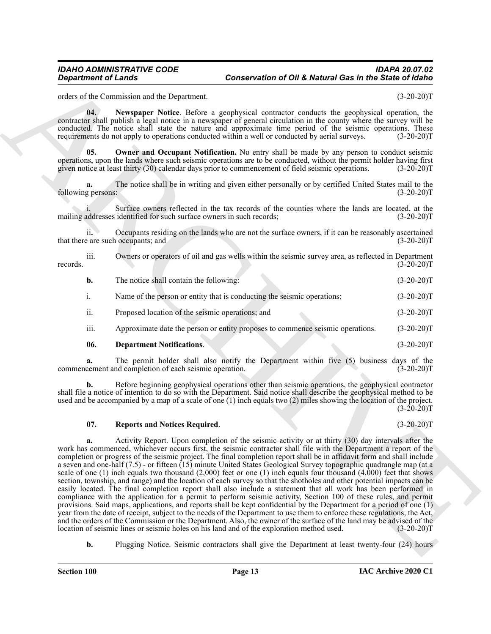<span id="page-12-1"></span>orders of the Commission and the Department. (3-20-20)T

**04. Newspaper Notice**. Before a geophysical contractor conducts the geophysical operation, the contractor shall publish a legal notice in a newspaper of general circulation in the county where the survey will be conducted. The notice shall state the nature and approximate time period of the seismic operations. These requirements do not apply to operations conducted within a well or conducted by aerial surveys. (3-20-20)T

<span id="page-12-2"></span>**05.** Owner and Occupant Notification. No entry shall be made by any person to conduct seismic operations, upon the lands where such seismic operations are to be conducted, without the permit holder having first given notice at least thirty (30) calendar days prior to commencement of field seismic operations. (3-20-20)T

**a.** The notice shall be in writing and given either personally or by certified United States mail to the g persons: (3-20-20) following persons:

Surface owners reflected in the tax records of the counties where the lands are located, at the identified for such surface owners in such records; (3-20-20) mailing addresses identified for such surface owners in such records;

ii**.** Occupants residing on the lands who are not the surface owners, if it can be reasonably ascertained that there are such occupants; and (3-20-20)T

iii. Owners or operators of oil and gas wells within the seismic survey area, as reflected in Department (3-20-20) records. (3-20-20)T

| b.               | The notice shall contain the following:                                        | $(3-20-20)T$ |
|------------------|--------------------------------------------------------------------------------|--------------|
| $\overline{1}$ . | Name of the person or entity that is conducting the seismic operations;        | $(3-20-20)T$ |
| ii.              | Proposed location of the seismic operations; and                               | $(3-20-20)T$ |
| iii.             | Approximate date the person or entity proposes to commence seismic operations. | $(3-20-20)T$ |

#### <span id="page-12-0"></span>**06. Department Notifications**. (3-20-20)T

**a.** The permit holder shall also notify the Department within five (5) business days of the cement and completion of each seismic operation. (3-20-20) commencement and completion of each seismic operation.

**b.** Before beginning geophysical operations other than seismic operations, the geophysical contractor shall file a notice of intention to do so with the Department. Said notice shall describe the geophysical method to be used and be accompanied by a map of a scale of one (1) inch equals two (2) miles showing the location of the project.  $(3-20-20)T$ 

#### <span id="page-12-3"></span>**07. Reports and Notices Required**. (3-20-20)T

**Conservation of OH & Metund Ges in the Schein State of Gestion China and State of Ges in the Schein State of Ges in the Schein State of Ges in the Schein State of Ges in the Schein State of Ges in the Schein State of Ges a.** Activity Report. Upon completion of the seismic activity or at thirty (30) day intervals after the work has commenced, whichever occurs first, the seismic contractor shall file with the Department a report of the completion or progress of the seismic project. The final completion report shall be in affidavit form and shall include a seven and one-half (7.5) - or fifteen (15) minute United States Geological Survey topographic quadrangle map (at a scale of one  $(1)$  inch equals two thousand  $(2,000)$  feet or one  $(1)$  inch equals four thousand  $(4,000)$  feet that shows section, township, and range) and the location of each survey so that the shotholes and other potential impacts can be easily located. The final completion report shall also include a statement that all work has been performed in compliance with the application for a permit to perform seismic activity, Section 100 of these rules, and permit provisions. Said maps, applications, and reports shall be kept confidential by the Department for a period of one (1) year from the date of receipt, subject to the needs of the Department to use them to enforce these regulations, the Act, and the orders of the Commission or the Department. Also, the owner of the surface of the land may be advised of the location of seismic lines or seismic holes on his land and of the exploration method used. (3-20-20)T location of seismic lines or seismic holes on his land and of the exploration method used.

**b.** Plugging Notice. Seismic contractors shall give the Department at least twenty-four (24) hours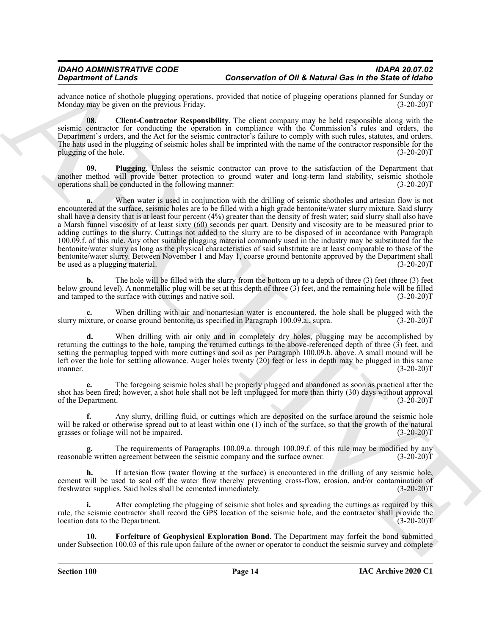advance notice of shothole plugging operations, provided that notice of plugging operations planned for Sunday or Monday may be given on the previous Friday.

<span id="page-13-0"></span>**08. Client-Contractor Responsibility**. The client company may be held responsible along with the seismic contractor for conducting the operation in compliance with the Commission's rules and orders, the Department's orders, and the Act for the seismic contractor's failure to comply with such rules, statutes, and orders. The hats used in the plugging of seismic holes shall be imprinted with the name of the contractor responsible for the plugging of the hole. (3-20-20)T

<span id="page-13-2"></span>**09. Plugging**. Unless the seismic contractor can prove to the satisfaction of the Department that another method will provide better protection to ground water and long-term land stability, seismic shothole operations shall be conducted in the following manner: (3-20-20) operations shall be conducted in the following manner:

Conservation of OH & Network General terms.<br>Conservation of OH & Network General terms are conservation of OH & Network General terms and the Space of Walkington of the Space of Walkington (1972) and the Space of the Spac When water is used in conjunction with the drilling of seismic shotholes and artesian flow is not encountered at the surface, seismic holes are to be filled with a high grade bentonite/water slurry mixture. Said slurry shall have a density that is at least four percent (4%) greater than the density of fresh water; said slurry shall also have a Marsh funnel viscosity of at least sixty (60) seconds per quart. Density and viscosity are to be measured prior to adding cuttings to the slurry. Cuttings not added to the slurry are to be disposed of in accordance with Paragraph 100.09.f. of this rule. Any other suitable plugging material commonly used in the industry may be substituted for the bentonite/water slurry as long as the physical characteristics of said substitute are at least comparable to those of the bentonite/water slurry. Between November 1 and May 1, coarse ground bentonite approved by the Department shall<br>be used as a plugging material. (3-20-20) be used as a plugging material.

**b.** The hole will be filled with the slurry from the bottom up to a depth of three (3) feet (three (3) feet below ground level). A nonmetallic plug will be set at this depth of three (3) feet, and the remaining hole will be filled and tamped to the surface with cuttings and native soil. (3-20-20) and tamped to the surface with cuttings and native soil.

**c.** When drilling with air and nonartesian water is encountered, the hole shall be plugged with the xture, or coarse ground bentonite, as specified in Paragraph 100.09.a., supra. (3-20-20) slurry mixture, or coarse ground bentonite, as specified in Paragraph 100.09.a., supra.

When drilling with air only and in completely dry holes, plugging may be accomplished by returning the cuttings to the hole, tamping the returned cuttings to the above-referenced depth of three (3) feet, and setting the permaplug topped with more cuttings and soil as per Paragraph 100.09.b. above. A small mound will be left over the hole for settling allowance. Auger holes twenty (20) feet or less in depth may be plugged in this same<br>manner. (3-20-20)T manner.  $(3-20-20)T$ 

**e.** The foregoing seismic holes shall be properly plugged and abandoned as soon as practical after the shot has been fired; however, a shot hole shall not be left unplugged for more than thirty (30) days without approval of the Department. (3-20-20)T

**f.** Any slurry, drilling fluid, or cuttings which are deposited on the surface around the seismic hole will be raked or otherwise spread out to at least within one (1) inch of the surface, so that the growth of the natural grasses or foliage will not be impaired. (3-20-20)T

The requirements of Paragraphs 100.09.a. through 100.09.f. of this rule may be modified by any agreement between the seismic company and the surface owner. (3-20-20)<sup>T</sup> reasonable written agreement between the seismic company and the surface owner.

**h.** If artesian flow (water flowing at the surface) is encountered in the drilling of any seismic hole, cement will be used to seal off the water flow thereby preventing cross-flow, erosion, and/or contamination of freshwater supplies. Said holes shall be cemented immediately. (3-20-20) freshwater supplies. Said holes shall be cemented immediately.

**i.** After completing the plugging of seismic shot holes and spreading the cuttings as required by this rule, the seismic contractor shall record the GPS location of the seismic hole, and the contractor shall provide the location data to the Department. (3-20-20)T

<span id="page-13-1"></span>**10. Forfeiture of Geophysical Exploration Bond**. The Department may forfeit the bond submitted under Subsection 100.03 of this rule upon failure of the owner or operator to conduct the seismic survey and complete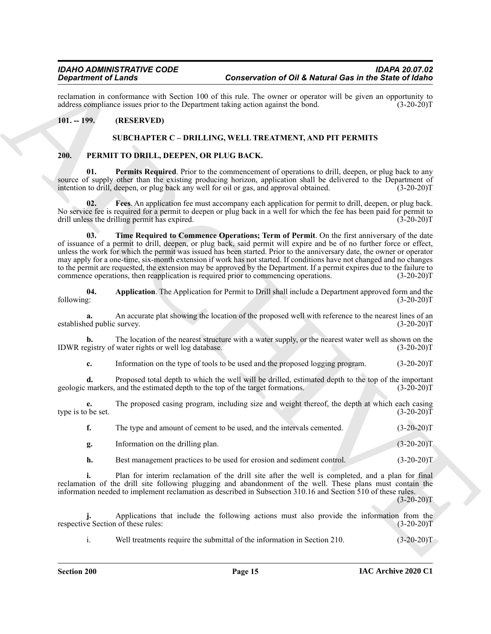reclamation in conformance with Section 100 of this rule. The owner or operator will be given an opportunity to address compliance issues prior to the Department taking action against the bond. (3-20-20) address compliance issues prior to the Department taking action against the bond.

### <span id="page-14-1"></span><span id="page-14-0"></span>**101. -- 199. (RESERVED)**

#### <span id="page-14-7"></span><span id="page-14-4"></span><span id="page-14-3"></span>**SUBCHAPTER C – DRILLING, WELL TREATMENT, AND PIT PERMITS**

#### <span id="page-14-2"></span>**200. PERMIT TO DRILL, DEEPEN, OR PLUG BACK.**

**01. Permits Required**. Prior to the commencement of operations to drill, deepen, or plug back to any source of supply other than the existing producing horizon, application shall be delivered to the Department of intention to drill, deepen, or plug back any well for oil or gas, and approval obtained. (3-20-20)T intention to drill, deepen, or plug back any well for oil or gas, and approval obtained.

<span id="page-14-8"></span><span id="page-14-6"></span>**02. Fees**. An application fee must accompany each application for permit to drill, deepen, or plug back. No service fee is required for a permit to deepen or plug back in a well for which the fee has been paid for permit to drill unless the drilling permit has expired. (3-20-20) drill unless the drilling permit has expired.

**Experimental on the same of Distribution of Distribution in the Content of Bulletin Content of Content on the Same III and the Same III and the Same III and the Same III and the Same III and the Same III and the Same III 03. Time Required to Commence Operations; Term of Permit**. On the first anniversary of the date of issuance of a permit to drill, deepen, or plug back, said permit will expire and be of no further force or effect, unless the work for which the permit was issued has been started. Prior to the anniversary date, the owner or operator may apply for a one-time, six-month extension if work has not started. If conditions have not changed and no changes to the permit are requested, the extension may be approved by the Department. If a permit expires due to the failure to commence operations, then reapplication is required prior to commencing operations. (3-20-20) commence operations, then reapplication is required prior to commencing operations.

<span id="page-14-5"></span>**04.** Application. The Application for Permit to Drill shall include a Department approved form and the following: (3-20-20)T following: (3-20-20)T

**a.** An accurate plat showing the location of the proposed well with reference to the nearest lines of an ed public survey. (3-20-20)T established public survey.

**b.** The location of the nearest structure with a water supply, or the nearest water well as shown on the egistry of water rights or well log database.  $(3-20-20)$ IDWR registry of water rights or well log database.

**c.** Information on the type of tools to be used and the proposed logging program. (3-20-20)T

**d.** Proposed total depth to which the well will be drilled, estimated depth to the top of the important markers, and the estimated depth to the top of the target formations.  $(3-20-20)T$ geologic markers, and the estimated depth to the top of the target formations.

**e.** The proposed casing program, including size and weight thereof, the depth at which each casing be set. (3-20-20) type is to be set.

| The type and amount of cement to be used, and the intervals cemented. | $(3-20-20)T$ |
|-----------------------------------------------------------------------|--------------|
| Information on the drilling plan.                                     | $(3-20-20)T$ |

**h.** Best management practices to be used for erosion and sediment control. (3-20-20)T

**i.** Plan for interim reclamation of the drill site after the well is completed, and a plan for final reclamation of the drill site following plugging and abandonment of the well. These plans must contain the information needed to implement reclamation as described in Subsection 310.16 and Section 510 of these rules.

 $(3-20-20)T$ 

**j.** Applications that include the following actions must also provide the information from the ve Section of these rules:  $(3-20-20)T$ respective Section of these rules:

i. Well treatments require the submittal of the information in Section 210. (3-20-20)T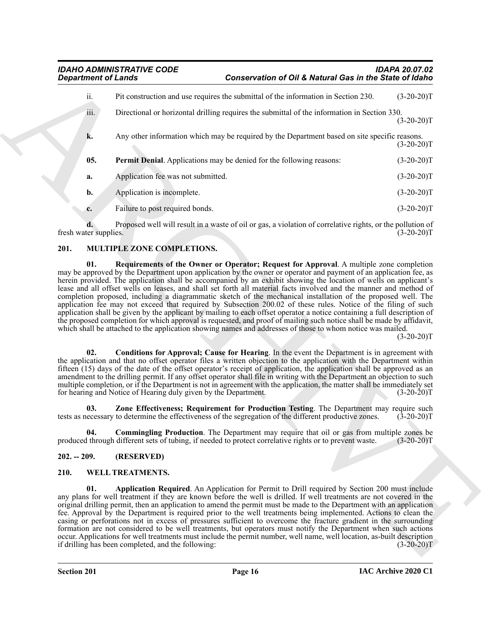| <b>Department of Lands</b> |                                                                                                                                                                                                                                                                                                                                                                                                                                                                                                                                                                                                                                                                                                    | Conservation of Oil & Natural Gas in the State of Idaho |              |  |
|----------------------------|----------------------------------------------------------------------------------------------------------------------------------------------------------------------------------------------------------------------------------------------------------------------------------------------------------------------------------------------------------------------------------------------------------------------------------------------------------------------------------------------------------------------------------------------------------------------------------------------------------------------------------------------------------------------------------------------------|---------------------------------------------------------|--------------|--|
| ii.                        | Pit construction and use requires the submittal of the information in Section 230.                                                                                                                                                                                                                                                                                                                                                                                                                                                                                                                                                                                                                 |                                                         | $(3-20-20)T$ |  |
| iii.                       | Directional or horizontal drilling requires the submittal of the information in Section 330.                                                                                                                                                                                                                                                                                                                                                                                                                                                                                                                                                                                                       |                                                         | $(3-20-20)T$ |  |
| k.                         | Any other information which may be required by the Department based on site specific reasons.                                                                                                                                                                                                                                                                                                                                                                                                                                                                                                                                                                                                      |                                                         | $(3-20-20)T$ |  |
| 05.                        | <b>Permit Denial.</b> Applications may be denied for the following reasons:                                                                                                                                                                                                                                                                                                                                                                                                                                                                                                                                                                                                                        |                                                         | $(3-20-20)T$ |  |
| a.                         | Application fee was not submitted.                                                                                                                                                                                                                                                                                                                                                                                                                                                                                                                                                                                                                                                                 |                                                         | $(3-20-20)T$ |  |
| b.                         | Application is incomplete.                                                                                                                                                                                                                                                                                                                                                                                                                                                                                                                                                                                                                                                                         |                                                         | $(3-20-20)T$ |  |
| c.                         | Failure to post required bonds.                                                                                                                                                                                                                                                                                                                                                                                                                                                                                                                                                                                                                                                                    |                                                         | $(3-20-20)T$ |  |
| fresh water supplies.      | Proposed well will result in a waste of oil or gas, a violation of correlative rights, or the pollution of                                                                                                                                                                                                                                                                                                                                                                                                                                                                                                                                                                                         |                                                         | $(3-20-20)T$ |  |
| 201.                       | MULTIPLE ZONE COMPLETIONS.                                                                                                                                                                                                                                                                                                                                                                                                                                                                                                                                                                                                                                                                         |                                                         |              |  |
| 02.                        | completion proposed, including a diagrammatic sketch of the mechanical installation of the proposed well. The<br>application fee may not exceed that required by Subsection 200.02 of these rules. Notice of the filing of such<br>application shall be given by the applicant by mailing to each offset operator a notice containing a full description of<br>the proposed completion for which approval is requested, and proof of mailing such notice shall be made by affidavit,<br>which shall be attached to the application showing names and addresses of those to whom notice was mailed.<br>Conditions for Approval; Cause for Hearing. In the event the Department is in agreement with |                                                         | $(3-20-20)T$ |  |
|                            | the application and that no offset operator files a written objection to the application with the Department within<br>fifteen (15) days of the date of the offset operator's receipt of application, the application shall be approved as an<br>amendment to the drilling permit. If any offset operator shall file in writing with the Department an objection to such<br>multiple completion, or if the Department is not in agreement with the application, the matter shall be immediately set<br>for hearing and Notice of Hearing duly given by the Department.                                                                                                                             |                                                         | $(3-20-20)T$ |  |
| 03.                        | Zone Effectiveness; Requirement for Production Testing. The Department may require such<br>tests as necessary to determine the effectiveness of the segregation of the different productive zones.                                                                                                                                                                                                                                                                                                                                                                                                                                                                                                 |                                                         | $(3-20-20)T$ |  |
| 04.                        | Commingling Production. The Department may require that oil or gas from multiple zones be<br>produced through different sets of tubing, if needed to protect correlative rights or to prevent waste.                                                                                                                                                                                                                                                                                                                                                                                                                                                                                               |                                                         | $(3-20-20)T$ |  |
| $202. - 209.$              | (RESERVED)                                                                                                                                                                                                                                                                                                                                                                                                                                                                                                                                                                                                                                                                                         |                                                         |              |  |
| 210.                       | WELL TREATMENTS.                                                                                                                                                                                                                                                                                                                                                                                                                                                                                                                                                                                                                                                                                   |                                                         |              |  |
| 01.                        | Application Required. An Application for Permit to Drill required by Section 200 must include<br>any plans for well treatment if they are known before the well is drilled. If well treatments are not covered in the<br>original drilling permit, then an application to amend the permit must be made to the Department with an application<br>fee. Approval by the Department is required prior to the well treatments being implemented. Actions to clean the<br>casing or perforations not in excess of pressures sufficient to overcome the fracture gradient in the surrounding                                                                                                             |                                                         |              |  |

# <span id="page-15-8"></span><span id="page-15-6"></span><span id="page-15-4"></span><span id="page-15-3"></span><span id="page-15-0"></span>**201. MULTIPLE ZONE COMPLETIONS.**

#### <span id="page-15-7"></span><span id="page-15-5"></span><span id="page-15-1"></span>**202. -- 209. (RESERVED)**

#### <span id="page-15-10"></span><span id="page-15-9"></span><span id="page-15-2"></span>**210. WELL TREATMENTS.**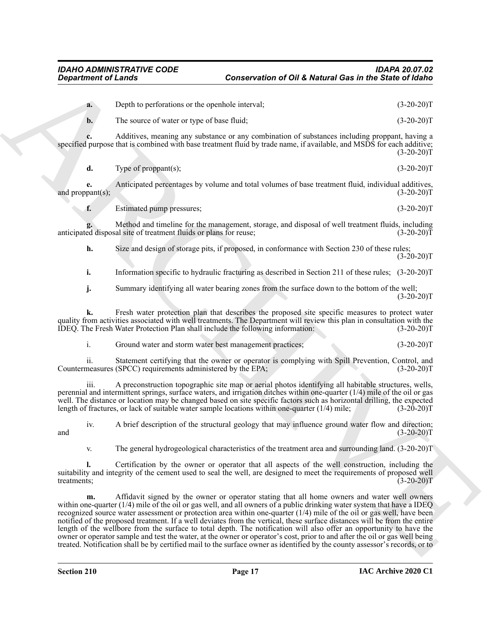| Depth to perforations or the openhole interval; | $(3-20-20)T$ |
|-------------------------------------------------|--------------|
| The source of water or type of base fluid;      | $(3-20-20)T$ |

**c.** Additives, meaning any substance or any combination of substances including proppant, having a specified purpose that is combined with base treatment fluid by trade name, if available, and MSDS for each additive;  $(3-20-20)T$ 

**d.** Type of proppant(s);  $(3-20-20)T$ 

**e.** Anticipated percentages by volume and total volumes of base treatment fluid, individual additives, pant(s); (3-20-20) and proppant $(s)$ ;

**f.** Estimated pump pressures; (3-20-20)T

**g.** Method and timeline for the management, storage, and disposal of well treatment fluids, including ed disposal site of treatment fluids or plans for reuse; (3-20-20) anticipated disposal site of treatment fluids or plans for reuse;

**h.** Size and design of storage pits, if proposed, in conformance with Section 230 of these rules;  $(3-20-20)T$ 

**i.** Information specific to hydraulic fracturing as described in Section 211 of these rules;  $(3{\text -}20{\text -}20)T$ 

**j.** Summary identifying all water bearing zones from the surface down to the bottom of the well;  $(3-20-20)T$ 

**k.** Fresh water protection plan that describes the proposed site specific measures to protect water quality from activities associated with well treatments. The Department will review this plan in consultation with the IDEQ. The Fresh Water Protection Plan shall include the following information: (3-20-20)T IDEQ. The Fresh Water Protection Plan shall include the following information:

i. Ground water and storm water best management practices; (3-20-20)T

ii. Statement certifying that the owner or operator is complying with Spill Prevention, Control, and<br>neasures (SPCC) requirements administered by the EPA; (3-20-20) Countermeasures (SPCC) requirements administered by the EPA;

iii. A preconstruction topographic site map or aerial photos identifying all habitable structures, wells, perennial and intermittent springs, surface waters, and irrigation ditches within one-quarter (1/4) mile of the oil or gas well. The distance or location may be changed based on site specific factors such as horizontal drilling, the expected length of fractures, or lack of suitable water sample locations within one-quarter  $(1/4)$  mile;  $(3-2$ length of fractures, or lack of suitable water sample locations within one-quarter  $(1/4)$  mile;

iv. A brief description of the structural geology that may influence ground water flow and direction; and  $(3-20-20)T$ 

v. The general hydrogeological characteristics of the treatment area and surrounding land. (3-20-20)T

**l.** Certification by the owner or operator that all aspects of the well construction, including the suitability and integrity of the cement used to seal the well, are designed to meet the requirements of proposed well<br>(3-20-20)T treatments; (3-20-20)T

**Conservation of OH & Metand Ges in the Sixter of China<br>
Conservation of OH & Metand Ges in the Sixter of Sixter<br>
A Direction of which is equivalent and the same of the space of the same of the Sixter of Sixter of Sixter m.** Affidavit signed by the owner or operator stating that all home owners and water well owners within one-quarter (1/4) mile of the oil or gas well, and all owners of a public drinking water system that have a IDEQ recognized source water assessment or protection area within one-quarter (1/4) mile of the oil or gas well, have been notified of the proposed treatment. If a well deviates from the vertical, these surface distances will be from the entire length of the wellbore from the surface to total depth. The notification will also offer an opportunity to have the owner or operator sample and test the water, at the owner or operator's cost, prior to and after the oil or gas well being treated. Notification shall be by certified mail to the surface owner as identified by the county assessor's records, or to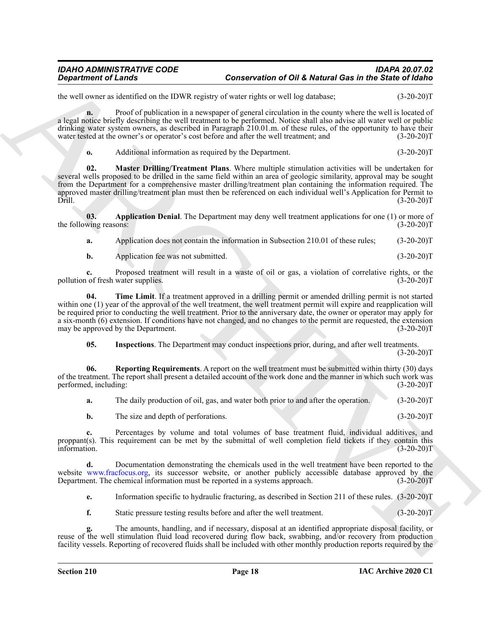the well owner as identified on the IDWR registry of water rights or well log database; (3-20-20)T

**n.** Proof of publication in a newspaper of general circulation in the county where the well is located of a legal notice briefly describing the well treatment to be performed. Notice shall also advise all water well or public drinking water system owners, as described in Paragraph 210.01.m. of these rules, of the opportunity to have their water tested at the owner's or operator's cost before and after the well treatment; and (3-20-20)T

<span id="page-17-2"></span>**o.** Additional information as required by the Department. (3-20-20)

**02. Master Drilling/Treatment Plans**. Where multiple stimulation activities will be undertaken for several wells proposed to be drilled in the same field within an area of geologic similarity, approval may be sought from the Department for a comprehensive master drilling/treatment plan containing the information required. The approved master drilling/treatment plan must then be referenced on each individual well's Application for Permit to Drill. (3-20-20)T

**03.** Application Denial. The Department may deny well treatment applications for one (1) or more of wing reasons: (3-20-20) the following reasons:

<span id="page-17-0"></span>**a.** Application does not contain the information in Subsection 210.01 of these rules; (3-20-20)T

<span id="page-17-4"></span>**b.** Application fee was not submitted. (3-20-20)T

**c.** Proposed treatment will result in a waste of oil or gas, a violation of correlative rights, or the not fresh water supplies. (3-20-20) pollution of fresh water supplies.

General entrepreneur and DNE Meteorities of DNE Meteorities at the Since of General entrepreneur and DNE Meteorities at the Since of General entrepreneur and the Since of General entrepreneur and the Since of General entr **04. Time Limit**. If a treatment approved in a drilling permit or amended drilling permit is not started within one (1) year of the approval of the well treatment, the well treatment permit will expire and reapplication will be required prior to conducting the well treatment. Prior to the anniversary date, the owner or operator may apply for a six-month (6) extension. If conditions have not changed, and no changes to the permit are requested, the extension may be approved by the Department. (3-20-20) may be approved by the Department.

<span id="page-17-3"></span><span id="page-17-1"></span>**05. Inspections**. The Department may conduct inspections prior, during, and after well treatments.  $(3-20-20)T$ 

**06. Reporting Requirements**. A report on the well treatment must be submitted within thirty (30) days of the treatment. The report shall present a detailed account of the work done and the manner in which such work was performed, including: (3-20-20) performed, including:

| а. | The daily production of oil, gas, and water both prior to and after the operation. |  |  |  | $(3-20-20)T$ |
|----|------------------------------------------------------------------------------------|--|--|--|--------------|
|----|------------------------------------------------------------------------------------|--|--|--|--------------|

**b.** The size and depth of perforations. (3-20-20)T

**c.** Percentages by volume and total volumes of base treatment fluid, individual additives, and proppant(s). This requirement can be met by the submittal of well completion field tickets if they contain this information. (3-20-20)T information. (3-20-20)T

**d.** Documentation demonstrating the chemicals used in the well treatment have been reported to the website www.fracfocus.org, its successor website, or another publicly accessible database approved by the Department. The chemical information must be reported in a systems approach. (3-20-20) Department. The chemical information must be reported in a systems approach.

**e.** Information specific to hydraulic fracturing, as described in Section 211 of these rules. (3-20-20)T

**f.** Static pressure testing results before and after the well treatment. (3-20-20)T

**g.** The amounts, handling, and if necessary, disposal at an identified appropriate disposal facility, or g. The amounts, handling, and it necessary, disposar at all identified appropriate disposar hermity, or reuse of the well stimulation fluid load recovered during flow back, swabbing, and/or recovery from production facility vessels. Reporting of recovered fluids shall be included with other monthly production reports required by the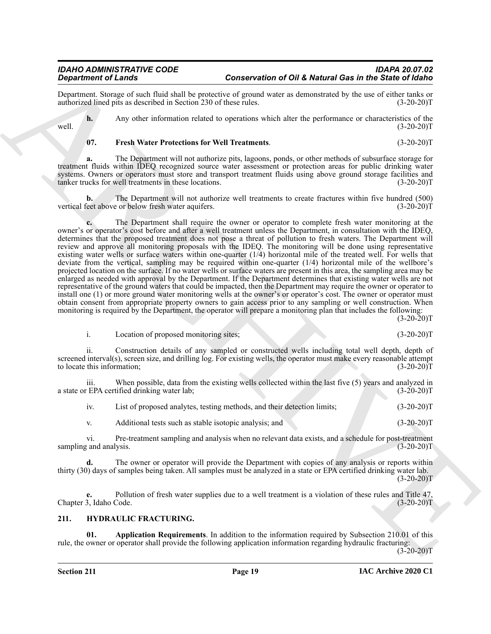Department. Storage of such fluid shall be protective of ground water as demonstrated by the use of either tanks or authorized lined pits as described in Section 230 of these rules. (3-20-20)T

**h.** Any other information related to operations which alter the performance or characteristics of the  $(3-20-20)T$ well.  $(3-20-20)T$ 

#### <span id="page-18-3"></span>**07. Fresh Water Protections for Well Treatments**. (3-20-20)T

**a.** The Department will not authorize pits, lagoons, ponds, or other methods of subsurface storage for treatment fluids within IDEQ recognized source water assessment or protection areas for public drinking water systems. Owners or operators must store and transport treatment fluids using above ground storage facilities and tanker trucks for well treatments in these locations. (3-20-20)T

**b.** The Department will not authorize well treatments to create fractures within five hundred (500) feet above or below fresh water aquifers. (3-20-20) vertical feet above or below fresh water aquifers.

**Significant of Linearity conservation of OH Meteorities in the Significant Conservation of Distribution in the Conservation of the Conservation of the Conservation of the Conservation of the Conservation of the Conservat c.** The Department shall require the owner or operator to complete fresh water monitoring at the owner's or operator's cost before and after a well treatment unless the Department, in consultation with the IDEQ, determines that the proposed treatment does not pose a threat of pollution to fresh waters. The Department will review and approve all monitoring proposals with the IDEQ. The monitoring will be done using representative existing water wells or surface waters within one-quarter  $(1/4)$  horizontal mile of the treated well. For wells that deviate from the vertical, sampling may be required within one-quarter (1/4) horizontal mile of the wellbore's projected location on the surface. If no water wells or surface waters are present in this area, the sampling area may be enlarged as needed with approval by the Department. If the Department determines that existing water wells are not representative of the ground waters that could be impacted, then the Department may require the owner or operator to install one (1) or more ground water monitoring wells at the owner's or operator's cost. The owner or operator must obtain consent from appropriate property owners to gain access prior to any sampling or well construction. When monitoring is required by the Department, the operator will prepare a monitoring plan that includes the following:  $(3-20-20)$ T

i. Location of proposed monitoring sites; (3-20-20)T

ii. Construction details of any sampled or constructed wells including total well depth, depth of screened interval(s), screen size, and drilling log. For existing wells, the operator must make every reasonable attempt to locate this information; (3-20-20) to locate this information;

iii. When possible, data from the existing wells collected within the last five (5) years and analyzed in  $EPA$  certified drinking water lab;  $(3-20-20)T$ a state or EPA certified drinking water lab;

iv. List of proposed analytes, testing methods, and their detection limits; (3-20-20)T v. Additional tests such as stable isotopic analysis; and (3-20-20)T

vi. Pre-treatment sampling and analysis when no relevant data exists, and a schedule for post-treatment sampling and analysis. (3-20-20)T

**d.** The owner or operator will provide the Department with copies of any analysis or reports within thirty (30) days of samples being taken. All samples must be analyzed in a state or EPA certified drinking water lab.  $(3-20-20)T$ 

**e.** Pollution of fresh water supplies due to a well treatment is a violation of these rules and Title 47, 3, Idaho Code. (3-20-20) Chapter 3, Idaho Code.

#### <span id="page-18-1"></span><span id="page-18-0"></span>**211. HYDRAULIC FRACTURING.**

<span id="page-18-2"></span>**01. Application Requirements**. In addition to the information required by Subsection 210.01 of this rule, the owner or operator shall provide the following application information regarding hydraulic fracturing:

 $(3-20-20)T$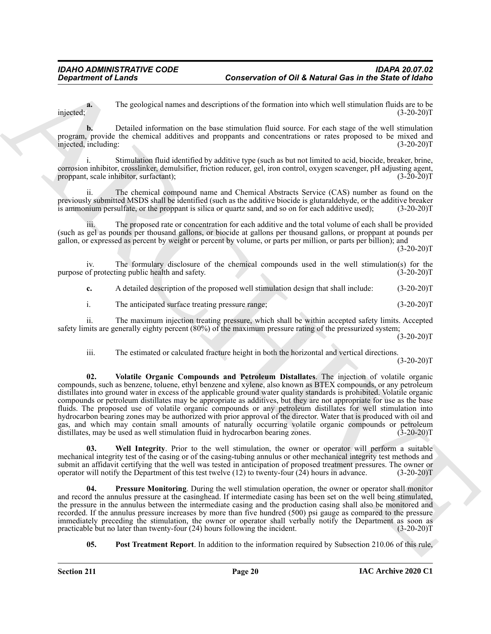The geological names and descriptions of the formation into which well stimulation fluids are to be (3-20-20)T injected; (3-20-20)T

**b.** Detailed information on the base stimulation fluid source. For each stage of the well stimulation program, provide the chemical additives and proppants and concentrations or rates proposed to be mixed and injected, including: (3-20-20) injected, including:

i. Stimulation fluid identified by additive type (such as but not limited to acid, biocide, breaker, brine, corrosion inhibitor, crosslinker, demulsifier, friction reducer, gel, iron control, oxygen scavenger, pH adjusting agent, proppant, scale inhibitor, surfactant);

ii. The chemical compound name and Chemical Abstracts Service (CAS) number as found on the previously submitted MSDS shall be identified (such as the additive biocide is glutaraldehyde, or the additive breaker is ammonium persulfate, or the proppant is silica or quartz sand, and so on for each additive used); (3-20-20)T

iii. The proposed rate or concentration for each additive and the total volume of each shall be provided (such as gel as pounds per thousand gallons, or biocide at gallons per thousand gallons, or proppant at pounds per gallon, or expressed as percent by weight or percent by volume, or parts per million, or parts per billion); and  $(3-20-20)T$ 

iv. The formulary disclosure of the chemical compounds used in the well stimulation(s) for the of protecting public health and safety. (3-20-20) purpose of protecting public health and safety.

**c.** A detailed description of the proposed well stimulation design that shall include:  $(3-20-20)T$ 

i. The anticipated surface treating pressure range; (3-20-20)T

ii. The maximum injection treating pressure, which shall be within accepted safety limits. Accepted safety limits are generally eighty percent (80%) of the maximum pressure rating of the pressurized system;

 $(3-20-20)T$ 

<span id="page-19-2"></span>iii. The estimated or calculated fracture height in both the horizontal and vertical directions.

 $(3-20-20)T$ 

General density of the state of the conservation of OH & Metural Ges in the Since of the interpretation of the state of the state of the state of the state of the state of the state of the state of the state of the state **02. Volatile Organic Compounds and Petroleum Distallates**. The injection of volatile organic compounds, such as benzene, toluene, ethyl benzene and xylene, also known as BTEX compounds, or any petroleum distillates into ground water in excess of the applicable ground water quality standards is prohibited. Volatile organic compounds or petroleum distillates may be appropriate as additives, but they are not appropriate for use as the base fluids. The proposed use of volatile organic compounds or any petroleum distillates for well stimulation into hydrocarbon bearing zones may be authorized with prior approval of the director. Water that is produced with oil and gas, and which may contain small amounts of naturally occurring volatile organic compounds or petroleum distillates, may be used as well stimulation fluid in hydrocarbon bearing zones. (3-20-20) distillates, may be used as well stimulation fluid in hydrocarbon bearing zones.

<span id="page-19-3"></span>**03. Well Integrity**. Prior to the well stimulation, the owner or operator will perform a suitable mechanical integrity test of the casing or of the casing-tubing annulus or other mechanical integrity test methods and submit an affidavit certifying that the well was tested in anticipation of proposed treatment pressures. The owner or operator will notify the Department of this test twelve (12) to twenty-four (24) hours in advance. (3-20-20)T

<span id="page-19-1"></span>**04. Pressure Monitoring**. During the well stimulation operation, the owner or operator shall monitor and record the annulus pressure at the casinghead. If intermediate casing has been set on the well being stimulated, the pressure in the annulus between the intermediate casing and the production casing shall also be monitored and recorded. If the annulus pressure increases by more than five hundred (500) psi gauge as compared to the pressure immediately preceding the stimulation, the owner or operator shall verbally notify the Department as soon as practicable but no later than twenty-four (24) hours following the incident.  $(3-20-20)$ practicable but no later than twenty-four  $(24)$  hours following the incident.

<span id="page-19-0"></span>**05. Post Treatment Report**. In addition to the information required by Subsection 210.06 of this rule,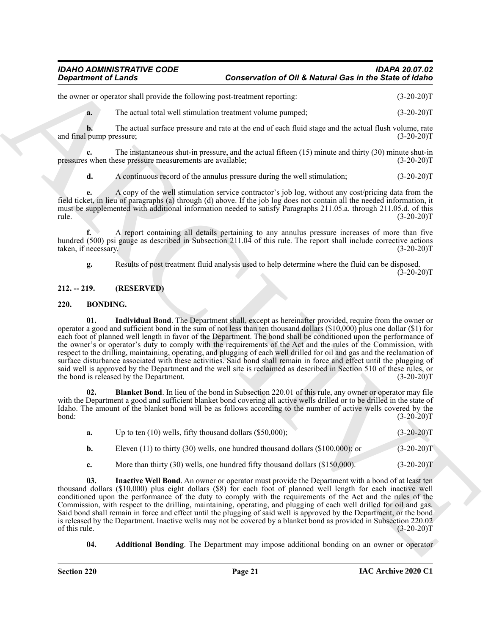the owner or operator shall provide the following post-treatment reporting:  $(3-20-20)T$ 

**a.** The actual total well stimulation treatment volume pumped;  $(3-20-20)$ T

**b.** The actual surface pressure and rate at the end of each fluid stage and the actual flush volume, rate and final pump pressure; (3-20-20)T

**c.** The instantaneous shut-in pressure, and the actual fifteen (15) minute and thirty (30) minute shut-in s when these pressure measurements are available: (3-20-20) pressures when these pressure measurements are available;

**d.** A continuous record of the annulus pressure during the well stimulation; (3-20-20)T

**e.** A copy of the well stimulation service contractor's job log, without any cost/pricing data from the field ticket, in lieu of paragraphs (a) through (d) above. If the job log does not contain all the needed information, it must be supplemented with additional information needed to satisfy Paragraphs 211.05.a. through 211.05.d. of this  $rule.$  (3-20-20)T

**f.** A report containing all details pertaining to any annulus pressure increases of more than five hundred (500) psi gauge as described in Subsection 211.04 of this rule. The report shall include corrective actions taken, if necessary. (3-20-20)T

<span id="page-20-6"></span>**g.** Results of post treatment fluid analysis used to help determine where the fluid can be disposed.  $(3-20-20)$ T

#### <span id="page-20-0"></span>**212. -- 219. (RESERVED)**

#### <span id="page-20-2"></span><span id="page-20-1"></span>**220. BONDING.**

Geometric of Lender<br>
Conservation of OH & Network (16 and 16 and 16 and 16 and 16 and 16 and 16 and 16 and 16 and 16 and 16 and 16 and 16 and 16 and 16 and 16 and 16 and 16 and 16 and 16 and 16 and 16 and 16 and 16 and 16 **01. Individual Bond**. The Department shall, except as hereinafter provided, require from the owner or operator a good and sufficient bond in the sum of not less than ten thousand dollars (\$10,000) plus one dollar (\$1) for each foot of planned well length in favor of the Department. The bond shall be conditioned upon the performance of the owner's or operator's duty to comply with the requirements of the Act and the rules of the Commission, with respect to the drilling, maintaining, operating, and plugging of each well drilled for oil and gas and the reclamation of surface disturbance associated with these activities. Said bond shall remain in force and effect until the plugging of said well is approved by the Department and the well site is reclaimed as described in Section 510 of these rules, or the bond is released by the Department. (3-20-20)T

**02. Blanket Bond**. In lieu of the bond in Subsection 220.01 of this rule, any owner or operator may file with the Department a good and sufficient blanket bond covering all active wells drilled or to be drilled in the state of Idaho. The amount of the blanket bond will be as follows according to the number of active wells covered by the  $b$ ond:  $(3-20-20)T$ 

<span id="page-20-4"></span>

| Up to ten $(10)$ wells, fifty thousand dollars $(\$50,000)$ ;                         | $(3-20-20)T$ |
|---------------------------------------------------------------------------------------|--------------|
| Eleven $(11)$ to thirty $(30)$ wells, one hundred thousand dollars $(\$100,000)$ ; or | $(3-20-20)T$ |

<span id="page-20-5"></span>**c.** More than thirty (30) wells, one hundred fifty thousand dollars (\$150,000). (3-20-20)T

**03. Inactive Well Bond**. An owner or operator must provide the Department with a bond of at least ten thousand dollars (\$10,000) plus eight dollars (\$8) for each foot of planned well length for each inactive well conditioned upon the performance of the duty to comply with the requirements of the Act and the rules of the Commission, with respect to the drilling, maintaining, operating, and plugging of each well drilled for oil and gas. Said bond shall remain in force and effect until the plugging of said well is approved by the Department, or the bond is released by the Department. Inactive wells may not be covered by a blanket bond as provided in Subsection 220.02 of this rule.  $(3-20-20)T$ 

<span id="page-20-3"></span>**04. Additional Bonding**. The Department may impose additional bonding on an owner or operator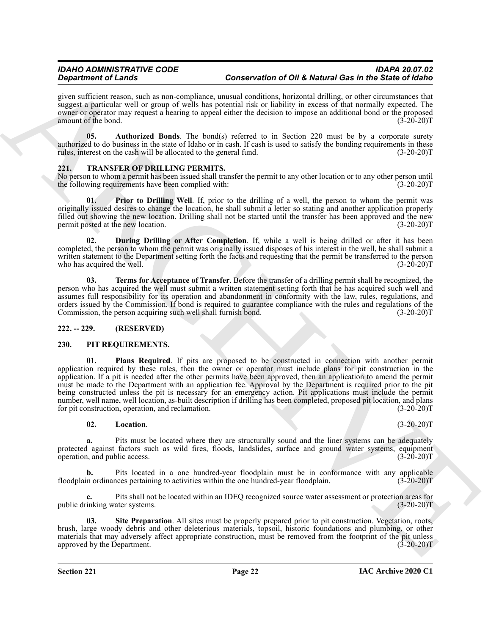given sufficient reason, such as non-compliance, unusual conditions, horizontal drilling, or other circumstances that suggest a particular well or group of wells has potential risk or liability in excess of that normally expected. The owner or operator may request a hearing to appeal either the decision to impose an additional bond or the proposed amount of the bond. (3-20-20) amount of the bond.

<span id="page-21-3"></span>**05.** Authorized Bonds. The bond(s) referred to in Section 220 must be by a corporate surety authorized to do business in the state of Idaho or in cash. If cash is used to satisfy the bonding requirements in these rules, interest on the cash will be allocated to the general fund. (3-20-20)T

## <span id="page-21-8"></span><span id="page-21-0"></span>**7RANSFER OF DRILLING PERMITS.**

No person to whom a permit has been issued shall transfer the permit to any other location or to any other person until<br>the following requirements have been complied with: (3-20-20) the following requirements have been complied with:

<span id="page-21-10"></span>**01. Prior to Drilling Well**. If, prior to the drilling of a well, the person to whom the permit was originally issued desires to change the location, he shall submit a letter so stating and another application properly filled out showing the new location. Drilling shall not be started until the transfer has been approved and the new<br>permit posted at the new location. (3-20-20)T permit posted at the new location.

<span id="page-21-9"></span>**02. During Drilling or After Completion**. If, while a well is being drilled or after it has been completed, the person to whom the permit was originally issued disposes of his interest in the well, he shall submit a written statement to the Department setting forth the facts and requesting that the permit be transferred to the person<br>(3-20-20) who has acquired the well.

<span id="page-21-11"></span>**03. Terms for Acceptance of Transfer**. Before the transfer of a drilling permit shall be recognized, the person who has acquired the well must submit a written statement setting forth that he has acquired such well and assumes full responsibility for its operation and abandonment in conformity with the law, rules, regulations, and orders issued by the Commission. If bond is required to guarantee compliance with the rules and regulations of the Commission, the person acquiring such well shall furnish bond. (3-20-20) Commission, the person acquiring such well shall furnish bond.

#### <span id="page-21-1"></span>**222. -- 229. (RESERVED)**

#### <span id="page-21-6"></span><span id="page-21-4"></span><span id="page-21-2"></span>**230. PIT REQUIREMENTS.**

Generalized Calinary and the material Case Controller of OH Metropoliteiral in the Society of the Case of the Case of the Case of the Case of the Case of the Case of the Case of the Case of the Case of the Case of the Cas **01. Plans Required**. If pits are proposed to be constructed in connection with another permit application required by these rules, then the owner or operator must include plans for pit construction in the application. If a pit is needed after the other permits have been approved, then an application to amend the permit must be made to the Department with an application fee. Approval by the Department is required prior to the pit being constructed unless the pit is necessary for an emergency action. Pit applications must include the permit number, well name, well location, as-built description if drilling has been completed, proposed pit location, and plans<br>for pit construction, operation, and reclamation. (3-20-20) for pit construction, operation, and reclamation.

#### <span id="page-21-5"></span>**02.** Location. (3-20-20)T

**a.** Pits must be located where they are structurally sound and the liner systems can be adequately protected against factors such as wild fires, floods, landslides, surface and ground water systems, equipment operation, and public access. (3-20-20) operation, and public access.

Pits located in a one hundred-year floodplain must be in conformance with any applicable nees pertaining to activities within the one hundred-year floodplain. (3-20-20)<sup>T</sup> floodplain ordinances pertaining to activities within the one hundred-year floodplain.

**c.** Pits shall not be located within an IDEQ recognized source water assessment or protection areas for public drinking water systems. (3-20-20)T

<span id="page-21-7"></span>**03.** Site Preparation. All sites must be properly prepared prior to pit construction. Vegetation, roots, brush, large woody debris and other deleterious materials, topsoil, historic foundations and plumbing, or other materials that may adversely affect appropriate construction, must be removed from the footprint of the pit unless approved by the Department. (3-20-20) approved by the Department.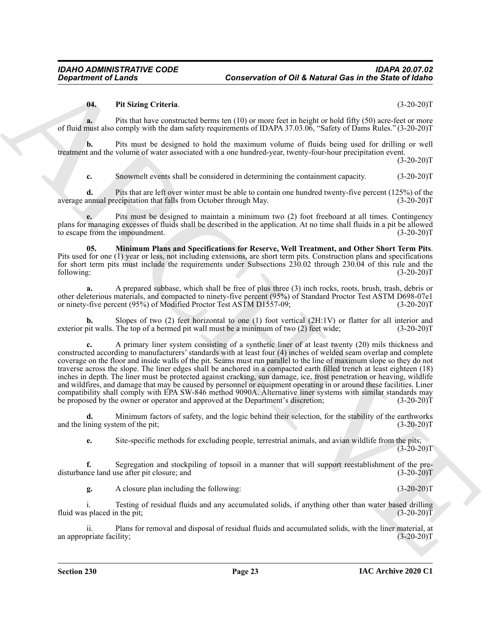#### <span id="page-22-1"></span>**04. Pit Sizing Criteria**. (3-20-20)T

**a.** Pits that have constructed berms ten (10) or more feet in height or hold fifty (50) acre-feet or more of fluid must also comply with the dam safety requirements of IDAPA 37.03.06, "Safety of Dams Rules." (3-20-20)T

**b.** Pits must be designed to hold the maximum volume of fluids being used for drilling or well treatment and the volume of water associated with a one hundred-year, twenty-four-hour precipitation event.

 $(3-20-20)T$ 

**c.** Snowmelt events shall be considered in determining the containment capacity.  $(3-20-20)T$ 

**d.** Pits that are left over winter must be able to contain one hundred twenty-five percent (125%) of the annual precipitation that falls from October through May. (3-20-20) average annual precipitation that falls from October through May.

**e.** Pits must be designed to maintain a minimum two (2) foot freeboard at all times. Contingency plans for managing excesses of fluids shall be described in the application. At no time shall fluids in a pit be allowed<br>to escape from the impoundment. (3-20-20) to escape from the impoundment.

<span id="page-22-0"></span>**05. Minimum Plans and Specifications for Reserve, Well Treatment, and Other Short Term Pits**. Pits used for one (1) year or less, not including extensions, are short term pits. Construction plans and specifications for short term pits must include the requirements under Subsections 230.02 through 230.04 of this rule and the following:<br>(3-20-20) following: (3-20-20)T

**a.** A prepared subbase, which shall be free of plus three (3) inch rocks, roots, brush, trash, debris or other deleterious materials, and compacted to ninety-five percent (95%) of Standard Proctor Test ASTM D698-07e1 or ninety-five percent (95%) of Modified Proctor Test ASTM D1557-09;

Slopes of two (2) feet horizontal to one (1) foot vertical (2H:1V) or flatter for all interior and The top of a bermed pit wall must be a minimum of two (2) feet wide:  $(3-20-20)$ exterior pit walls. The top of a bermed pit wall must be a minimum of two (2) feet wide;

General entry of Lender<br>
The Using Criticis Conservation of OH & Network Ges in the Sixter of Network<br>
The Using Criticis Criticis Conservation of the Using Critics Conservation (5) 2012)<br>
The Using Critics Conservation o **c.** A primary liner system consisting of a synthetic liner of at least twenty (20) mils thickness and constructed according to manufacturers' standards with at least four (4) inches of welded seam overlap and complete coverage on the floor and inside walls of the pit. Seams must run parallel to the line of maximum slope so they do not traverse across the slope. The liner edges shall be anchored in a compacted earth filled trench at least eighteen (18) inches in depth. The liner must be protected against cracking, sun damage, ice, frost penetration or heaving, wildlife and wildfires, and damage that may be caused by personnel or equipment operating in or around these facilities. Liner compatibility shall comply with EPA SW-846 method 9090A. Alternative liner systems with similar standards may<br>be proposed by the owner or operator and approved at the Department's discretion; (3-20-20) be proposed by the owner or operator and approved at the Department's discretion;

**d.** Minimum factors of safety, and the logic behind their selection, for the stability of the earthworks ining system of the pit: (3-20-20) and the lining system of the pit;

**e.** Site-specific methods for excluding people, terrestrial animals, and avian wildlife from the pits;  $(3-20-20)T$ 

**f.** Segregation and stockpiling of topsoil in a manner that will support reestablishment of the predisturbance land use after pit closure; and (3-20-20)T

**g.** A closure plan including the following: (3-20-20)T

i. Testing of residual fluids and any accumulated solids, if anything other than water based drilling fluid was placed in the pit; (3-20-20)T

ii. Plans for removal and disposal of residual fluids and accumulated solids, with the liner material, at an appropriate facility;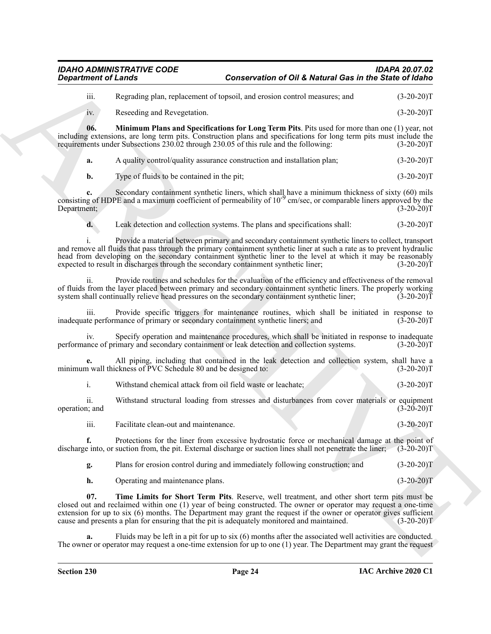iii. Regrading plan, replacement of topsoil, and erosion control measures; and (3-20-20)T

<span id="page-23-0"></span>iv. Reseeding and Revegetation. (3-20-20)T

**06. Minimum Plans and Specifications for Long Term Pits**. Pits used for more than one (1) year, not including extensions, are long term pits. Construction plans and specifications for long term pits must include the requirements under Subsections 230.02 through 230.05 of this rule and the following: (3-20-20)T requirements under Subsections 230.02 through 230.05 of this rule and the following:

**a.** A quality control/quality assurance construction and installation plan; (3-20-20)T

**b.** Type of fluids to be contained in the pit;  $(3-20-20)T$ 

**c.** Secondary containment synthetic liners, which shall have a minimum thickness of sixty (60) mils consisting of HDPE and a maximum coefficient of permeability of  $10^{-9}$  cm/sec, or comparable liners approved by the Department; (3-20-20)T

**d.** Leak detection and collection systems. The plans and specifications shall:  $(3-20-20)T$ 

Generation of Leads Conservation of OH & Network Ges in the Sixter of China<br>
in Recentling and Network Conservation of OH & Network Conservation (3.20-201)<br>
in Recentling and Network Conservation for Leads Conservation (3 i. Provide a material between primary and secondary containment synthetic liners to collect, transport and remove all fluids that pass through the primary containment synthetic liner at such a rate as to prevent hydraulic head from developing on the secondary containment synthetic liner to the level at which it may be reasonably expected to result in discharges through the secondary containment synthetic liner; (3-20-20) expected to result in discharges through the secondary containment synthetic liner;

Provide routines and schedules for the evaluation of the efficiency and effectiveness of the removal of fluids from the layer placed between primary and secondary containment synthetic liners. The properly working<br>system shall continually relieve head pressures on the secondary containment synthetic liner; (3-20-20) system shall continually relieve head pressures on the secondary containment synthetic liner;

iii. Provide specific triggers for maintenance routines, which shall be initiated in response to the performance of primary or secondary containment synthetic liners; and (3-20-20) inadequate performance of primary or secondary containment synthetic liners; and

iv. Specify operation and maintenance procedures, which shall be initiated in response to inadequate once of primary and secondary containment or leak detection and collection systems. (3-20-20) performance of primary and secondary containment or leak detection and collection systems.

**e.** All piping, including that contained in the leak detection and collection system, shall have a n wall thickness of PVC Schedule 80 and be designed to: (3-20-20) minimum wall thickness of PVC Schedule 80 and be designed to:

i. Withstand chemical attack from oil field waste or leachate; (3-20-20)T

ii. Withstand structural loading from stresses and disturbances from cover materials or equipment operation; and

iii. Facilitate clean-out and maintenance. (3-20-20)T

**f.** Protections for the liner from excessive hydrostatic force or mechanical damage at the point of e into, or suction from, the pit. External discharge or suction lines shall not penetrate the liner; (3-20-20)T discharge into, or suction from, the pit. External discharge or suction lines shall not penetrate the liner;

**g.** Plans for erosion control during and immediately following construction; and (3-20-20)T

<span id="page-23-1"></span>**h.** Operating and maintenance plans. (3-20-20)T

**07. Time Limits for Short Term Pits**. Reserve, well treatment, and other short term pits must be closed out and reclaimed within one (1) year of being constructed. The owner or operator may request a one-time extension for up to six (6) months. The Department may grant the request if the owner or operator gives sufficient cause and presents a plan for ensuring that the pit is adequately monitored and maintained. (3-20-20)T cause and presents a plan for ensuring that the pit is adequately monitored and maintained.

Fluids may be left in a pit for up to six (6) months after the associated well activities are conducted. The owner or operator may request a one-time extension for up to one (1) year. The Department may grant the request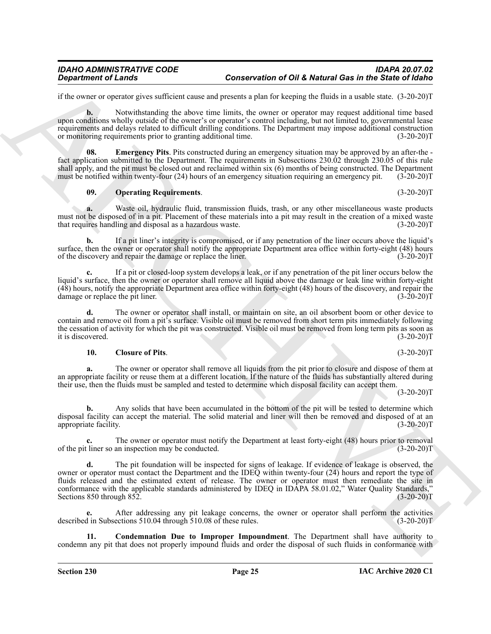if the owner or operator gives sufficient cause and presents a plan for keeping the fluids in a usable state. (3-20-20)T

**b.** Notwithstanding the above time limits, the owner or operator may request additional time based upon conditions wholly outside of the owner's or operator's control including, but not limited to, governmental lease requirements and delays related to difficult drilling conditions. The Department may impose additional construction<br>or monitoring requirements prior to granting additional time. (3-20-20) or monitoring requirements prior to granting additional time.

**Emergency Pits**. Pits constructed during an emergency situation may be approved by an after-the fact application submitted to the Department. The requirements in Subsections 230.02 through 230.05 of this rule shall apply, and the pit must be closed out and reclaimed within six (6) months of being constructed. The Department must be notified within twenty-four (24) hours of an emergency situation requiring an emergency pit. (3-20-20)T

#### <span id="page-24-3"></span><span id="page-24-2"></span>**09. Operating Requirements**. (3-20-20)T

**a.** Waste oil, hydraulic fluid, transmission fluids, trash, or any other miscellaneous waste products must not be disposed of in a pit. Placement of these materials into a pit may result in the creation of a mixed waste that requires handling and disposal as a hazardous waste. (3-20-20) that requires handling and disposal as a hazardous waste.

**b.** If a pit liner's integrity is compromised, or if any penetration of the liner occurs above the liquid's surface, then the owner or operator shall notify the appropriate Department area office within forty-eight (48) hours of the discovery and repair the damage or replace the liner. (3-20-20) of the discovery and repair the damage or replace the liner.

**c.** If a pit or closed-loop system develops a leak, or if any penetration of the pit liner occurs below the liquid's surface, then the owner or operator shall remove all liquid above the damage or leak line within forty-eight  $(48)$  hours, notify the appropriate Department area office within forty-eight (48) hours of the discovery, and repair the damage or replace the pit liner.  $(3-20-20)T$ damage or replace the pit liner.

**d.** The owner or operator shall install, or maintain on site, an oil absorbent boom or other device to contain and remove oil from a pit's surface. Visible oil must be removed from short term pits immediately following the cessation of activity for which the pit was constructed. Visible oil must be removed from long term pits as soon as<br>(3-20-20)T it is discovered. (3-20-20)T

#### <span id="page-24-0"></span>**10. Closure of Pits**. (3-20-20)T

**a.** The owner or operator shall remove all liquids from the pit prior to closure and dispose of them at an appropriate facility or reuse them at a different location. If the nature of the fluids has substantially altered during their use, then the fluids must be sampled and tested to determine which disposal facility can accept them.

 $(3-20-20)T$ 

**b.** Any solids that have been accumulated in the bottom of the pit will be tested to determine which disposal facility can accept the material. The solid material and liner will then be removed and disposed of at an appropriate facility. (3-20-20) appropriate facility.

**c.** The owner or operator must notify the Department at least forty-eight (48) hours prior to removal t liner so an inspection may be conducted.  $(3-20-20)$ of the pit liner so an inspection may be conducted.

**Conservation of OR A Metamates and Conservation of OR A Metamates and the Since Conservation of the Since Conservation of the Since Conservation of the Since Conservation of the Since Conservation of the Since Conservati d.** The pit foundation will be inspected for signs of leakage. If evidence of leakage is observed, the owner or operator must contact the Department and the IDEQ within twenty-four (24) hours and report the type of fluids released and the estimated extent of release. The owner or operator must then remediate the site in conformance with the applicable standards administered by IDEQ in IDAPA 58.01.02," Water Quality Standards,"<br>Sections 850 through 852. (3-20-20)T Sections 850 through 852.

**e.** After addressing any pit leakage concerns, the owner or operator shall perform the activities d in Subsections 510.04 through 510.08 of these rules. (3-20-20) described in Subsections 510.04 through  $\overline{510.08}$  of these rules.

<span id="page-24-1"></span>**11. Condemnation Due to Improper Impoundment**. The Department shall have authority to condemn any pit that does not properly impound fluids and order the disposal of such fluids in conformance with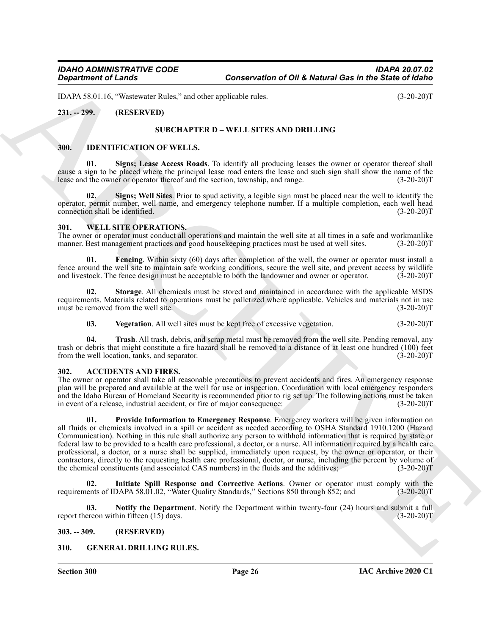IDAPA 58.01.16, "Wastewater Rules," and other applicable rules. (3-20-20)T

### <span id="page-25-1"></span><span id="page-25-0"></span>**231. -- 299. (RESERVED)**

### <span id="page-25-20"></span><span id="page-25-13"></span>**SUBCHAPTER D – WELL SITES AND DRILLING**

#### <span id="page-25-12"></span><span id="page-25-2"></span>**300. IDENTIFICATION OF WELLS.**

**01. Signs; Lease Access Roads**. To identify all producing leases the owner or operator thereof shall cause a sign to be placed where the principal lease road enters the lease and such sign shall show the name of the lease and the owner or operator thereof and the section, township, and range. (3-20-20) lease and the owner or operator thereof and the section, township, and range.

<span id="page-25-19"></span>**02. Signs; Well Sites**. Prior to spud activity, a legible sign must be placed near the well to identify the operator, permit number, well name, and emergency telephone number. If a multiple completion, each well head connection shall be identified.

#### <span id="page-25-14"></span><span id="page-25-3"></span>**301. WELL SITE OPERATIONS.**

The owner or operator must conduct all operations and maintain the well site at all times in a safe and workmanlike manner. Best management practices and good houseless practices must be used at well sites. (3-20-20)T manner. Best management practices and good housekeeping practices must be used at well sites.

<span id="page-25-15"></span>**01. Fencing**. Within sixty (60) days after completion of the well, the owner or operator must install a fence around the well site to maintain safe working conditions, secure the well site, and prevent access by wildlife and livestock. The fence design must be acceptable to both the landowner and owner or operator. (3-20-20) and livestock. The fence design must be acceptable to both the landowner and owner or operator.

**02. Storage**. All chemicals must be stored and maintained in accordance with the applicable MSDS requirements. Materials related to operations must be palletized where applicable. Vehicles and materials not in use must be removed from the well site. (3-20-20) must be removed from the well site.

<span id="page-25-18"></span><span id="page-25-17"></span><span id="page-25-16"></span>**03.** Vegetation. All well sites must be kept free of excessive vegetation. (3-20-20)T

**04. Trash**. All trash, debris, and scrap metal must be removed from the well site. Pending removal, any trash or debris that might constitute a fire hazard shall be removed to a distance of at least one hundred (100) feet<br>from the well location, tanks, and separator. (3-20-20) from the well location, tanks, and separator.

#### <span id="page-25-7"></span><span id="page-25-4"></span>**302. ACCIDENTS AND FIRES.**

<span id="page-25-10"></span>The owner or operator shall take all reasonable precautions to prevent accidents and fires. An emergency response plan will be prepared and available at the well for use or inspection. Coordination with local emergency responders and the Idaho Bureau of Homeland Security is recommended prior to rig set up. The following actions must be taken<br>in event of a release, industrial accident, or fire of maior consequence: in event of a release, industrial accident, or fire of major consequence:

General of Lenda<br>
26 networks of Case Conservation of OH & Metard Ges in the Sixtee of General<br>
231, a 299,<br>
(B-73-2017<br>
231, a 299,<br>
(B-73-2017<br>
231, a 299,<br>
(B-73-2017<br>
330, IDENTIFICATION OF WILLIS, OF WELL SITES AND D **01. Provide Information to Emergency Response**. Emergency workers will be given information on all fluids or chemicals involved in a spill or accident as needed according to OSHA Standard 1910.1200 (Hazard Communication). Nothing in this rule shall authorize any person to withhold information that is required by state or federal law to be provided to a health care professional, a doctor, or a nurse. All information required by a health care professional, a doctor, or a nurse shall be supplied, immediately upon request, by the owner or operator, or their contractors, directly to the requesting health care professional, doctor, or nurse, including the percent by volume of the chemical constituents (and associated CAS numbers) in the fluids and the additives: (3-20-20)T the chemical constituents (and associated CAS numbers) in the fluids and the additives;

<span id="page-25-8"></span>**02.** Initiate Spill Response and Corrective Actions. Owner or operator must comply with the ents of IDAPA 58.01.02, "Water Quality Standards," Sections 850 through 852; and (3-20-20)T requirements of IDAPA 58.01.02, "Water Quality Standards," Sections 850 through 852; and

<span id="page-25-9"></span>**03.** Notify the Department. Notify the Department within twenty-four (24) hours and submit a full ereon within fifteen (15) days. (3-20-20)<sup>T</sup> report thereon within fifteen  $(15)$  days.

<span id="page-25-5"></span>**303. -- 309. (RESERVED)**

#### <span id="page-25-11"></span><span id="page-25-6"></span>**310. GENERAL DRILLING RULES.**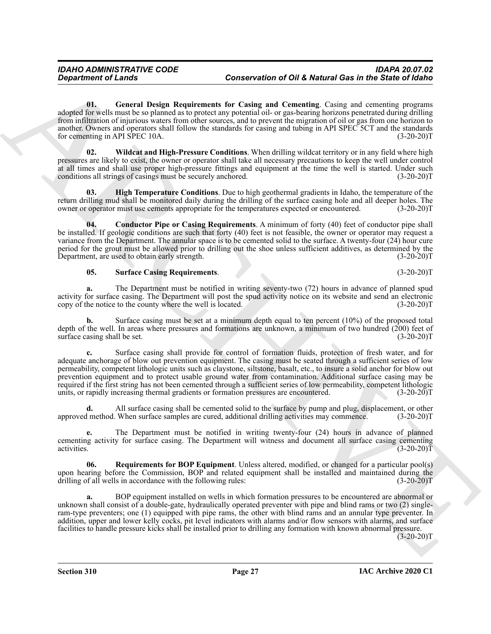<span id="page-26-1"></span>**01. General Design Requirements for Casing and Cementing**. Casing and cementing programs adopted for wells must be so planned as to protect any potential oil- or gas-bearing horizons penetrated during drilling from infiltration of injurious waters from other sources, and to prevent the migration of oil or gas from one horizon to another. Owners and operators shall follow the standards for casing and tubing in API SPEC 5CT and the standards for cementing in API SPEC 10A. (3-20-20)T

<span id="page-26-5"></span>**02. Wildcat and High-Pressure Conditions**. When drilling wildcat territory or in any field where high pressures are likely to exist, the owner or operator shall take all necessary precautions to keep the well under control at all times and shall use proper high-pressure fittings and equipment at the time the well is started. Under such conditions all strings of casings must be securely anchored. (3-20-20) conditions all strings of casings must be securely anchored.

<span id="page-26-2"></span>**03. High Temperature Conditions**. Due to high geothermal gradients in Idaho, the temperature of the return drilling mud shall be monitored daily during the drilling of the surface casing hole and all deeper holes. The owner or operator must use cements appropriate for the temperatures expected or encountered. (3-20-20)T

<span id="page-26-0"></span>**04. Conductor Pipe or Casing Requirements**. A minimum of forty (40) feet of conductor pipe shall be installed. If geologic conditions are such that forty (40) feet is not feasible, the owner or operator may request a variance from the Department. The annular space is to be cemented solid to the surface. A twenty-four (24) hour cure period for the grout must be allowed prior to drilling out the shoe unless sufficient additives, as determined by the Department, are used to obtain early strength. (3-20-20) Department, are used to obtain early strength.

#### <span id="page-26-4"></span>**05. Surface Casing Requirements**. (3-20-20)T

**a.** The Department must be notified in writing seventy-two (72) hours in advance of planned spud activity for surface casing. The Department will post the spud activity notice on its website and send an electronic copy of the notice to the county where the well is located. (3-20-20) copy of the notice to the county where the well is located.

**b.** Surface casing must be set at a minimum depth equal to ten percent (10%) of the proposed total depth of the well. In areas where pressures and formations are unknown, a minimum of two hundred (200) feet of surface casing shall be set. (3-20-20) surface casing shall be set.

General entry of the same behavior of Grandente Control in the Valence Cost in the Since of Grandent Control in the Cost of Control in the Cost of Cost of Grandent Cost of Cost of Cost of Cost of Cost of Cost of Cost of C **c.** Surface casing shall provide for control of formation fluids, protection of fresh water, and for adequate anchorage of blow out prevention equipment. The casing must be seated through a sufficient series of low permeability, competent lithologic units such as claystone, siltstone, basalt, etc., to insure a solid anchor for blow out prevention equipment and to protect usable ground water from contamination. Additional surface casing may be required if the first string has not been cemented through a sufficient series of low permeability, competent lithologic units, or rapidly increasing thermal gradients or formation pressures are encountered. (3-20-20)T

**d.** All surface casing shall be cemented solid to the surface by pump and plug, displacement, or other l method. When surface samples are cured, additional drilling activities may commence. (3-20-20) approved method. When surface samples are cured, additional drilling activities may commence.

**e.** The Department must be notified in writing twenty-four (24) hours in advance of planned cementing activity for surface casing. The Department will witness and document all surface casing cementing activities. (3-20-20)T activities. (3-20-20)T

<span id="page-26-3"></span>**06. Requirements for BOP Equipment**. Unless altered, modified, or changed for a particular pool(s) upon hearing before the Commission, BOP and related equipment shall be installed and maintained during the drilling of all wells in accordance with the following rules: (3-20-20)T

**a.** BOP equipment installed on wells in which formation pressures to be encountered are abnormal or unknown shall consist of a double-gate, hydraulically operated preventer with pipe and blind rams or two (2) singleram-type preventers; one (1) equipped with pipe rams, the other with blind rams and an annular type preventer. In addition, upper and lower kelly cocks, pit level indicators with alarms and/or flow sensors with alarms, and surface facilities to handle pressure kicks shall be installed prior to drilling any formation with known abnormal pressure.

 $(3-20-20)T$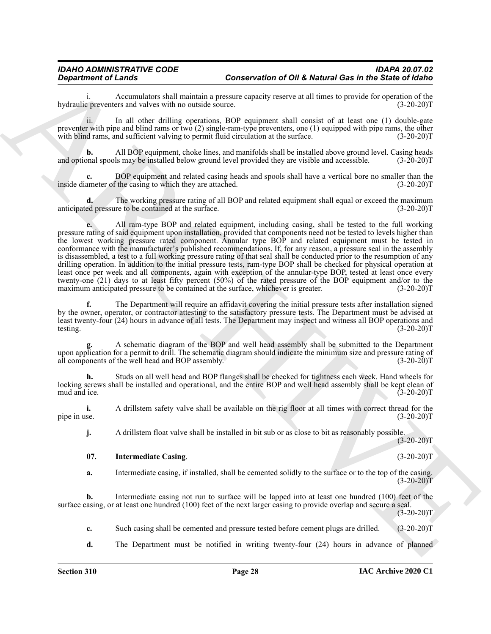i. Accumulators shall maintain a pressure capacity reserve at all times to provide for operation of the c preventers and valves with no outside source. (3-20-20) hydraulic preventers and valves with no outside source.

ii. In all other drilling operations, BOP equipment shall consist of at least one (1) double-gate preventer with pipe and blind rams or two (2) single-ram-type preventers, one (1) equipped with pipe rams, the other with blind rams, and sufficient valving to permit fluid circulation at the surface.  $(3-20-20)T$ 

**b.** All BOP equipment, choke lines, and manifolds shall be installed above ground level. Casing heads onal spools may be installed below ground level provided they are visible and accessible. (3-20-20)T and optional spools may be installed below ground level provided they are visible and accessible.

**c.** BOP equipment and related casing heads and spools shall have a vertical bore no smaller than the ameter of the casing to which they are attached.  $(3-20-20)$ inside diameter of the casing to which they are attached.

The working pressure rating of all BOP and related equipment shall equal or exceed the maximum anticipated pressure to be contained at the surface. (3-20-20)T

General contents of the symptoms of the Meteoral contents of the Meteoral contents of the Sirie of Girls in the Sirie of Girls including the symptoms of the Sirie of Girls including the symptoms and the symptoms in the sy **e.** All ram-type BOP and related equipment, including casing, shall be tested to the full working pressure rating of said equipment upon installation, provided that components need not be tested to levels higher than the lowest working pressure rated component. Annular type BOP and related equipment must be tested in conformance with the manufacturer's published recommendations. If, for any reason, a pressure seal in the assembly is disassembled, a test to a full working pressure rating of that seal shall be conducted prior to the resumption of any drilling operation. In addition to the initial pressure tests, ram-type BOP shall be checked for physical operation at least once per week and all components, again with exception of the annular-type BOP, tested at least once every twenty-one (21) days to at least fifty percent (50%) of the rated pressure of the BOP equipment and/or to the maximum anticipated pressure to be contained at the surface, whichever is greater.  $(3-20-20)T$ 

**f.** The Department will require an affidavit covering the initial pressure tests after installation signed by the owner, operator, or contractor attesting to the satisfactory pressure tests. The Department must be advised at least twenty-four (24) hours in advance of all tests. The Department may inspect and witness all BOP operations and testing. (3-20-20)T

**g.** A schematic diagram of the BOP and well head assembly shall be submitted to the Department upon application for a permit to drill. The schematic diagram should indicate the minimum size and pressure rating of all components of the well head and BOP assembly. (3-20-20)T

**h.** Studs on all well head and BOP flanges shall be checked for tightness each week. Hand wheels for locking screws shall be installed and operational, and the entire BOP and well head assembly shall be kept clean of mud and ice.  $(3-20-20)T$ 

**i.** A drillstem safety valve shall be available on the rig floor at all times with correct thread for the pipe in use.  $(3-20-20)T$ pipe in use.  $(3-20-20)T$ 

**j.** A drillstem float valve shall be installed in bit sub or as close to bit as reasonably possible.

#### <span id="page-27-0"></span>**07. Intermediate Casing**. (3-20-20)T

**a.** Intermediate casing, if installed, shall be cemented solidly to the surface or to the top of the casing.  $(3-20-20)T$ 

**b.** Intermediate casing not run to surface will be lapped into at least one hundred (100) feet of the surface casing, or at least one hundred (100) feet of the next larger casing to provide overlap and secure a seal.

 $(3-20-20)T$ 

**c.** Such casing shall be cemented and pressure tested before cement plugs are drilled. (3-20-20)T

**d.** The Department must be notified in writing twenty-four (24) hours in advance of planned

 $(3-20-20)T$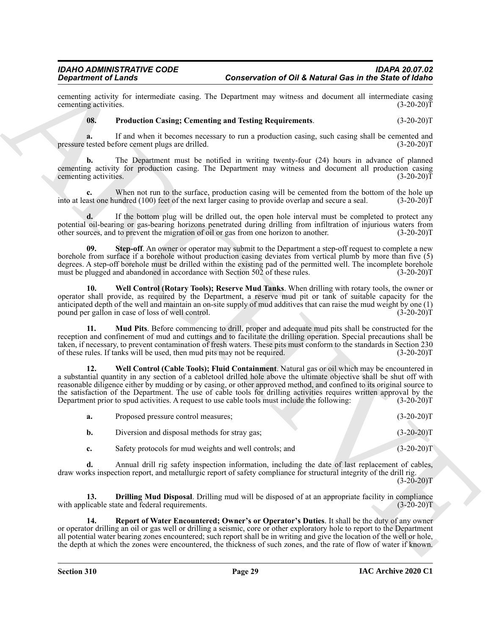cementing activity for intermediate casing. The Department may witness and document all intermediate casing cementing activities. (3-20-20) cementing activities.

#### <span id="page-28-0"></span>**08. Production Casing; Cementing and Testing Requirements**. (3-20-20)T

**a.** If and when it becomes necessary to run a production casing, such casing shall be cemented and tested before cement plugs are drilled. (3-20-20) pressure tested before cement plugs are drilled.

**b.** The Department must be notified in writing twenty-four (24) hours in advance of planned cementing activity for production casing. The Department may witness and document all production casing cementing activities. (3-20-20) cementing activities.

**c.** When not run to the surface, production casing will be cemented from the bottom of the hole up ast one hundred (100) feet of the next larger casing to provide overlap and secure a seal. (3-20-20) into at least one hundred  $(100)$  feet of the next larger casing to provide overlap and secure a seal.

**d.** If the bottom plug will be drilled out, the open hole interval must be completed to protect any potential oil-bearing or gas-bearing horizons penetrated during drilling from infiltration of injurious waters from other sources, and to prevent the migration of oil or gas from one horizon to another. (3-20-20) other sources, and to prevent the migration of oil or gas from one horizon to another.

<span id="page-28-5"></span>**Step-off**. An owner or operator may submit to the Department a step-off request to complete a new borehole from surface if a borehole without production casing deviates from vertical plumb by more than five (5) degrees. A step-off borehole must be drilled within the existing pad of the permitted well. The incomplete borehole must be plugged and abandoned in accordance with Section 502 of these rules. (3-20-20) must be plugged and abandoned in accordance with Section 502 of these rules.

<span id="page-28-6"></span>**10. Well Control (Rotary Tools); Reserve Mud Tanks**. When drilling with rotary tools, the owner or operator shall provide, as required by the Department, a reserve mud pit or tank of suitable capacity for the anticipated depth of the well and maintain an on-site supply of mud additives that can raise the mud weight by one (1) pound per gallon in case of loss of well control. (3-20-20) pound per gallon in case of loss of well control.

<span id="page-28-3"></span>**11. Mud Pits**. Before commencing to drill, proper and adequate mud pits shall be constructed for the reception and confinement of mud and cuttings and to facilitate the drilling operation. Special precautions shall be taken, if necessary, to prevent contamination of fresh waters. These pits must conform to the standards in Section 230 of these rules. If tanks will be used, then mud pits may not be required. (3-20-20) of these rules. If tanks will be used, then mud pits may not be required.

Conservation of OH & Network Gestein and Solid Metropolitics in the Sixtee Conservation of OH & Network Gestein and Solid Conservation of the Sixtee Conservation of the Sixtee Conservation of the Sixtee Conservation of th **12. Well Control (Cable Tools); Fluid Containment**. Natural gas or oil which may be encountered in a substantial quantity in any section of a cabletool drilled hole above the ultimate objective shall be shut off with reasonable diligence either by mudding or by casing, or other approved method, and confined to its original source to the satisfaction of the Department. The use of cable tools for drilling activities requires written approval by the Department prior to spud activities. A request to use cable tools must include the following: (3-20-20)T

<span id="page-28-1"></span>

| а.        | Proposed pressure control measures;                     | $(3-20-20)T$ |
|-----------|---------------------------------------------------------|--------------|
| b.        | Diversion and disposal methods for stray gas;           | $(3-20-20)T$ |
| $c_{\rm}$ | Safety protocols for mud weights and well controls; and | $(3-20-20)T$ |

**d.** Annual drill rig safety inspection information, including the date of last replacement of cables, draw works inspection report, and metallurgic report of safety compliance for structural integrity of the drill rig.

 $(3-20-20)T$ 

<span id="page-28-2"></span>**13. Drilling Mud Disposal**. Drilling mud will be disposed of at an appropriate facility in compliance with applicable state and federal requirements. (3-20-20)T

<span id="page-28-4"></span>**14. Report of Water Encountered; Owner's or Operator's Duties**. It shall be the duty of any owner or operator drilling an oil or gas well or drilling a seismic, core or other exploratory hole to report to the Department all potential water bearing zones encountered; such report shall be in writing and give the location of the well or hole, the depth at which the zones were encountered, the thickness of such zones, and the rate of flow of water if known.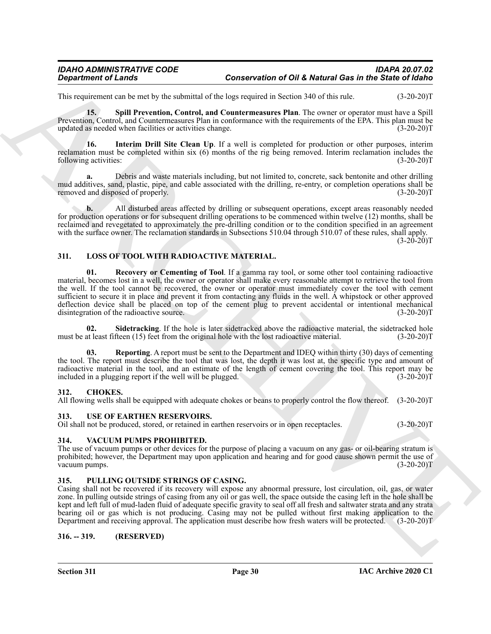This requirement can be met by the submittal of the logs required in Section 340 of this rule. (3-20-20)T

<span id="page-29-8"></span>**15. Spill Prevention, Control, and Countermeasures Plan**. The owner or operator must have a Spill Prevention, Control, and Countermeasures Plan in conformance with the requirements of the EPA. This plan must be updated as needed when facilities or activities change. (3-20-20)T

<span id="page-29-7"></span>**16. Interim Drill Site Clean Up**. If a well is completed for production or other purposes, interim reclamation must be completed within six (6) months of the rig being removed. Interim reclamation includes the following activities: (3-20-20)T

**a.** Debris and waste materials including, but not limited to, concrete, sack bentonite and other drilling mud additives, sand, plastic, pipe, and cable associated with the drilling, re-entry, or completion operations shall be removed and disposed of properly. (3-20-20) removed and disposed of properly.

**b.** All disturbed areas affected by drilling or subsequent operations, except areas reasonably needed for production operations or for subsequent drilling operations to be commenced within twelve (12) months, shall be reclaimed and revegetated to approximately the pre-drilling condition or to the condition specified in an agreement with the surface owner. The reclamation standards in Subsections 510.04 through 510.07 of these rules, shall apply.  $(3-20-20)T$ 

#### <span id="page-29-10"></span><span id="page-29-9"></span><span id="page-29-0"></span>**311. LOSS OF TOOL WITH RADIOACTIVE MATERIAL.**

Generation of Lender<br>
The sequence of Lender<br>
The sequence of Context of the sequence of Context of the large sequence of Context of the Section 2013<br>
Encyclopedia Context of the Section 2013 and Context of the Section 20 **01. Recovery or Cementing of Tool**. If a gamma ray tool, or some other tool containing radioactive material, becomes lost in a well, the owner or operator shall make every reasonable attempt to retrieve the tool from the well. If the tool cannot be recovered, the owner or operator must immediately cover the tool with cement sufficient to secure it in place and prevent it from contacting any fluids in the well. A whipstock or other approved deflection device shall be placed on top of the cement plug to prevent accidental or intentional mechanical disintegration of the radioactive source. (3-20-20) disintegration of the radioactive source.

<span id="page-29-12"></span>**02.** Sidetracking. If the hole is later sidetracked above the radioactive material, the sidetracked hole at least fifteen (15) feet from the original hole with the lost radioactive material. (3-20-20)<sup>T</sup> must be at least fifteen  $(15)$  feet from the original hole with the lost radioactive material.

<span id="page-29-11"></span>**03. Reporting**. A report must be sent to the Department and IDEQ within thirty (30) days of cementing the tool. The report must describe the tool that was lost, the depth it was lost at, the specific type and amount of radioactive material in the tool, and an estimate of the length of cement covering the tool. This report may be included in a plugging report if the well will be plugged. (3-20-20) included in a plugging report if the well will be plugged.

#### <span id="page-29-6"></span><span id="page-29-1"></span>**312. CHOKES.**

All flowing wells shall be equipped with adequate chokes or beans to properly control the flow thereof. (3-20-20)T

#### <span id="page-29-14"></span><span id="page-29-2"></span>**313. USE OF EARTHEN RESERVOIRS.**

Oil shall not be produced, stored, or retained in earthen reservoirs or in open receptacles. (3-20-20)T

#### <span id="page-29-15"></span><span id="page-29-3"></span>**314. VACUUM PUMPS PROHIBITED.**

The use of vacuum pumps or other devices for the purpose of placing a vacuum on any gas- or oil-bearing stratum is prohibited; however, the Department may upon application and hearing and for good cause shown permit the use of vacuum pumps. (3-20-20)T

#### <span id="page-29-13"></span><span id="page-29-4"></span>**315. PULLING OUTSIDE STRINGS OF CASING.**

Casing shall not be recovered if its recovery will expose any abnormal pressure, lost circulation, oil, gas, or water zone. In pulling outside strings of casing from any oil or gas well, the space outside the casing left in the hole shall be kept and left full of mud-laden fluid of adequate specific gravity to seal off all fresh and saltwater strata and any strata bearing oil or gas which is not producing. Casing may not be pulled without first making application to the Department and receiving approval. The application must describe how fresh waters will be protected. (3-20-20)T

#### <span id="page-29-5"></span>**316. -- 319. (RESERVED)**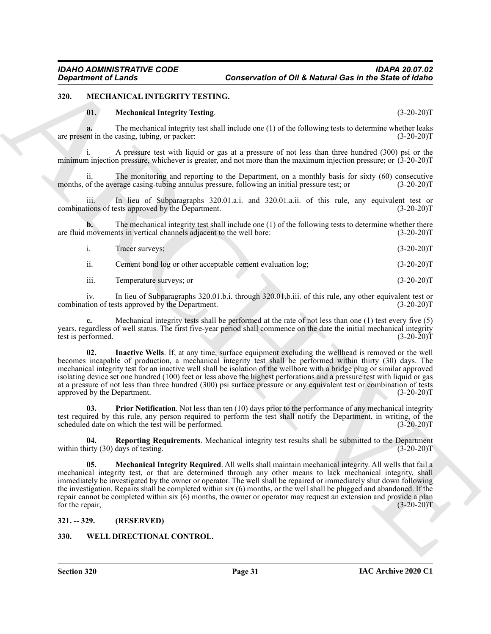#### <span id="page-30-0"></span>**320. MECHANICAL INTEGRITY TESTING.**

#### <span id="page-30-3"></span>**01. Mechanical Integrity Testing**. (3-20-20)T

**a.** The mechanical integrity test shall include one (1) of the following tests to determine whether leaks are present in the casing, tubing, or packer: (3-20-20)T

i. A pressure test with liquid or gas at a pressure of not less than three hundred (300) psi or the minimum injection pressure, whichever is greater, and not more than the maximum injection pressure; or (3-20-20)T

ii. The monitoring and reporting to the Department, on a monthly basis for sixty  $(60)$  consecutive of the average casing-tubing annulus pressure, following an initial pressure test; or  $(3-20-20)$ months, of the average casing-tubing annulus pressure, following an initial pressure test; or

In lieu of Subparagraphs 320.01.a.i. and 320.01.a.ii. of this rule, any equivalent test or combinations of tests approved by the Department. (3-20-20)T

**b.** The mechanical integrity test shall include one (1) of the following tests to determine whether there movements in vertical channels adjacent to the well bore: (3-20-20) are fluid movements in vertical channels adjacent to the well bore:

|     | Tracer surveys: |  |  | $(3-20-20)T$ |
|-----|-----------------|--|--|--------------|
| . . | $-1$            |  |  | . <u>.</u>   |

ii. Cement bond log or other acceptable cement evaluation log;  $(3-20-20)$ T

iii. Temperature surveys; or (3-20-20)T

iv. In lieu of Subparagraphs 320.01.b.i. through 320.01.b.iii. of this rule, any other equivalent test or tion of tests approved by the Department. (3-20-20) combination of tests approved by the Department.

**c.** Mechanical integrity tests shall be performed at the rate of not less than one (1) test every five (5) years, regardless of well status. The first five-year period shall commence on the date the initial mechanical integrity test is performed. (3-20-20)T test is performed.

<span id="page-30-4"></span>**02. Inactive Wells**. If, at any time, surface equipment excluding the wellhead is removed or the well becomes incapable of production, a mechanical integrity test shall be performed within thirty (30) days. The mechanical integrity test for an inactive well shall be isolation of the wellbore with a bridge plug or similar approved isolating device set one hundred (100) feet or less above the highest perforations and a pressure test with liquid or gas at a pressure of not less than three hundred (300) psi surface pressure or any equivalent test or combination of tests approved by the Department. (3-20-20)T

<span id="page-30-6"></span>**03. Prior Notification**. Not less than ten (10) days prior to the performance of any mechanical integrity test required by this rule, any person required to perform the test shall notify the Department, in writing, of the scheduled date on which the test will be performed. (3-20-20)T

<span id="page-30-7"></span><span id="page-30-5"></span>**04. Reporting Requirements**. Mechanical integrity test results shall be submitted to the Department irty (30) days of testing. (3-20-20) within thirty  $(30)$  days of testing.

ARCHIVE **05. Mechanical Integrity Required**. All wells shall maintain mechanical integrity. All wells that fail a mechanical integrity test, or that are determined through any other means to lack mechanical integrity, shall immediately be investigated by the owner or operator. The well shall be repaired or immediately shut down following the investigation. Repairs shall be completed within six (6) months, or the well shall be plugged and abandoned. If the repair cannot be completed within six (6) months, the owner or operator may request an extension and provide a plan for the repair,  $(3-20-20)T$ 

#### <span id="page-30-1"></span>**321. -- 329. (RESERVED)**

#### <span id="page-30-8"></span><span id="page-30-2"></span>**330. WELL DIRECTIONAL CONTROL.**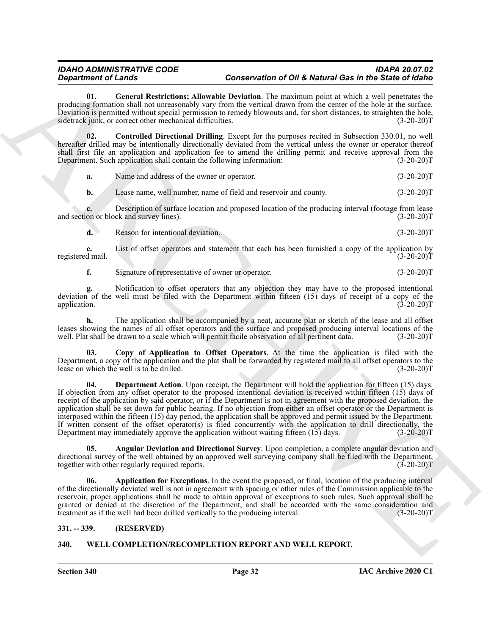<span id="page-31-2"></span>**01. General Restrictions; Allowable Deviation**. The maximum point at which a well penetrates the producing formation shall not unreasonably vary from the vertical drawn from the center of the hole at the surface. Deviation is permitted without special permission to remedy blowouts and, for short distances, to straighten the hole, sidetrack junk, or correct other mechanical difficulties. (3-20-20) sidetrack junk, or correct other mechanical difficulties.

**02. Controlled Directional Drilling**. Except for the purposes recited in Subsection 330.01, no well hereafter drilled may be intentionally directionally deviated from the vertical unless the owner or operator thereof shall first file an application and application fee to amend the drilling permit and receive approval from the<br>Department. Such application shall contain the following information: (3-20-20) Department. Such application shall contain the following information:

<span id="page-31-6"></span>**a.** Name and address of the owner or operator. (3-20-20)T

**b.** Lease name, well number, name of field and reservoir and county. (3-20-20)T

**c.** Description of surface location and proposed location of the producing interval (footage from lease on or block and survey lines). and section or block and survey lines).

| Reason for intentional deviation. | $(3-20-20)T$ |
|-----------------------------------|--------------|
|                                   |              |

**e.** List of offset operators and statement that each has been furnished a copy of the application by d mail. (3-20-20) registered mail.

**f.** Signature of representative of owner or operator. (3-20-20)T

**g.** Notification to offset operators that any objection they may have to the proposed intentional deviation of the well must be filed with the Department within fifteen  $(15)$  days of receipt of a copy of the application.  $(3-20-20)$ application. (3-20-20)T

**h.** The application shall be accompanied by a neat, accurate plat or sketch of the lease and all offset leases showing the names of all offset operators and the surface and proposed producing interval locations of the well. Plat shall be drawn to a scale which will permit facile observation of all pertinent data. (3-20-20) well. Plat shall be drawn to a scale which will permit facile observation of all pertinent data.

<span id="page-31-8"></span><span id="page-31-7"></span>**03. Copy of Application to Offset Operators**. At the time the application is filed with the Department, a copy of the application and the plat shall be forwarded by registered mail to all offset operators to the lease on which the well is to be drilled. (3-20-20) lease on which the well is to be drilled.

**Equivalent of Law Section 10.0** Conservation of Disk Determines the Anti-Box of the Color of Disk Determines the transformation of Disk Determines the transformation of the Color of Law Section 20.1 Conservative in the c **04. Department Action**. Upon receipt, the Department will hold the application for fifteen (15) days. If objection from any offset operator to the proposed intentional deviation is received within fifteen (15) days of receipt of the application by said operator, or if the Department is not in agreement with the proposed deviation, the application shall be set down for public hearing. If no objection from either an offset operator or the Department is interposed within the fifteen (15) day period, the application shall be approved and permit issued by the Department. If written consent of the offset operator(s) is filed concurrently with the application to drill directionally, the Department may immediately approve the application without waiting fifteen  $(15)$  days.  $(3-20-20)$ Department may immediately approve the application without waiting fifteen  $(15)$  days.

<span id="page-31-4"></span>**05. Angular Deviation and Directional Survey**. Upon completion, a complete angular deviation and directional survey of the well obtained by an approved well surveying company shall be filed with the Department, together with other regularly required reports. (3-20-20)T

<span id="page-31-5"></span>**06. Application for Exceptions**. In the event the proposed, or final, location of the producing interval of the directionally deviated well is not in agreement with spacing or other rules of the Commission applicable to the reservoir, proper applications shall be made to obtain approval of exceptions to such rules. Such approval shall be granted or denied at the discretion of the Department, and shall be accorded with the same consideration and treatment as if the well had been drilled vertically to the producing interval. (3-20-20) treatment as if the well had been drilled vertically to the producing interval.

#### <span id="page-31-0"></span>**331. -- 339. (RESERVED)**

#### <span id="page-31-3"></span><span id="page-31-1"></span>**340. WELL COMPLETION/RECOMPLETION REPORT AND WELL REPORT.**

**Section 340 Page 32**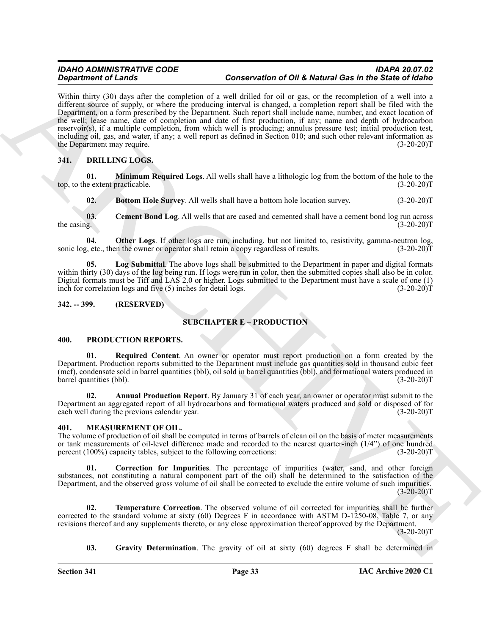**Strain of Clauding Control in the United Control in the Material Control in the Clauding Control in the United Control in the United Clauding Control in the United Clauding Control in the United Clauding Control in the U** Within thirty (30) days after the completion of a well drilled for oil or gas, or the recompletion of a well into a different source of supply, or where the producing interval is changed, a completion report shall be filed with the Department, on a form prescribed by the Department. Such report shall include name, number, and exact location of the well; lease name, date of completion and date of first production, if any; name and depth of hydrocarbon reservoir(s), if a multiple completion, from which well is producing; annulus pressure test; initial production test, including oil, gas, and water, if any; a well report as defined in Section 010; and such other relevant information as the Department may require.

### <span id="page-32-5"></span><span id="page-32-0"></span>**341. DRILLING LOGS.**

**01. Minimum Required Logs**. All wells shall have a lithologic log from the bottom of the hole to the extent practicable. (3-20-20)T top, to the extent practicable.

<span id="page-32-10"></span><span id="page-32-9"></span><span id="page-32-7"></span><span id="page-32-6"></span>**02. Bottom Hole Survey**. All wells shall have a bottom hole location survey. (3-20-20)T

**03. Cement Bond Log**. All wells that are cased and cemented shall have a cement bond log run across  $g$ . (3-20-20) the casing.

**04.** Other Logs. If other logs are run, including, but not limited to, resistivity, gamma-neutron log,  $\mu$ , etc., then the owner or operator shall retain a copy regardless of results. (3-20-20) sonic log, etc., then the owner or operator shall retain a copy regardless of results.

<span id="page-32-8"></span>**05. Log Submittal**. The above logs shall be submitted to the Department in paper and digital formats within thirty (30) days of the log being run. If logs were run in color, then the submitted copies shall also be in color. Digital formats must be Tiff and LAS 2.0 or higher. Logs submitted to the Department must have a scale of one (1) inch for correlation logs and five (5) inches for detail logs. (3-20-20)T

#### <span id="page-32-2"></span><span id="page-32-1"></span>**342. -- 399. (RESERVED)**

#### <span id="page-32-15"></span>**SUBCHAPTER E – PRODUCTION**

#### <span id="page-32-16"></span><span id="page-32-3"></span>**400. PRODUCTION REPORTS.**

<span id="page-32-18"></span>**01. Required Content**. An owner or operator must report production on a form created by the Department. Production reports submitted to the Department must include gas quantities sold in thousand cubic feet (mcf), condensate sold in barrel quantities (bbl), oil sold in barrel quantities (bbl), and formational waters produced in barrel quantities (bbl). (3-20-20)T

<span id="page-32-17"></span>**02. Annual Production Report**. By January 31 of each year, an owner or operator must submit to the Department an aggregated report of all hydrocarbons and formational waters produced and sold or disposed of for each well during the previous calendar year. (3-20-20)T

#### <span id="page-32-11"></span><span id="page-32-4"></span>**401. MEASUREMENT OF OIL.**

The volume of production of oil shall be computed in terms of barrels of clean oil on the basis of meter measurements or tank measurements of oil-level difference made and recorded to the nearest quarter-inch (1/4") of one hundred percent (100%) capacity tables, subject to the following corrections: (3-20-20)T

<span id="page-32-12"></span>**01. Correction for Impurities**. The percentage of impurities (water, sand, and other foreign substances, not constituting a natural component part of the oil) shall be determined to the satisfaction of the Department, and the observed gross volume of oil shall be corrected to exclude the entire volume of such impurities.  $(3-20-20)T$ 

**02. Temperature Correction**. The observed volume of oil corrected for impurities shall be further corrected to the standard volume at sixty (60) Degrees F in accordance with ASTM D-1250-08, Table 7, or any revisions thereof and any supplements thereto, or any close approximation thereof approved by the Department.  $(3-20-20)T$ 

<span id="page-32-14"></span><span id="page-32-13"></span>**03. Gravity Determination**. The gravity of oil at sixty (60) degrees F shall be determined in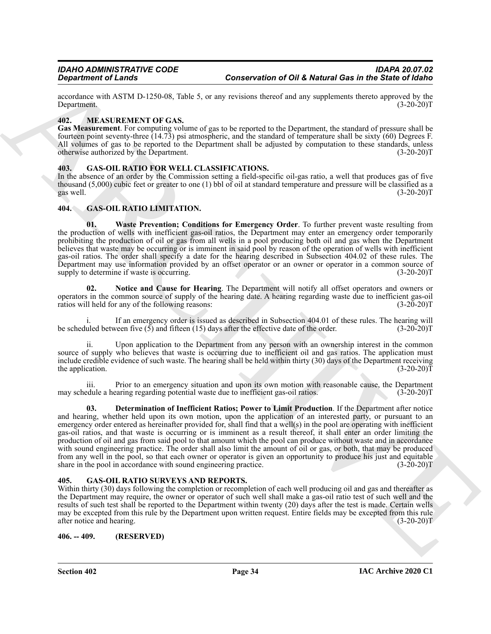accordance with ASTM D-1250-08, Table 5, or any revisions thereof and any supplements thereto approved by the<br>
(3-20-20)T Department. (3-20-20)T

#### <span id="page-33-11"></span><span id="page-33-0"></span>**402. MEASUREMENT OF GAS.**

**Gas Measurement**. For computing volume of gas to be reported to the Department, the standard of pressure shall be fourteen point seventy-three (14.73) psi atmospheric, and the standard of temperature shall be sixty (60) Degrees F. All volumes of gas to be reported to the Department shall be adjusted by computation to these standards, unless otherwise authorized by the Department. (3-20-20)T

### <span id="page-33-6"></span><span id="page-33-1"></span>**403. GAS-OIL RATIO FOR WELL CLASSIFICATIONS.**

In the absence of an order by the Commission setting a field-specific oil-gas ratio, a well that produces gas of five thousand (5,000) cubic feet or greater to one (1) bbl of oil at standard temperature and pressure will be classified as a gas well.  $(3-20-20)T$ gas well.  $(3-20-20)T$ 

#### <span id="page-33-7"></span><span id="page-33-2"></span>**404. GAS-OIL RATIO LIMITATION.**

<span id="page-33-5"></span>**01. Waste Prevention; Conditions for Emergency Order**. To further prevent waste resulting from the production of wells with inefficient gas-oil ratios, the Department may enter an emergency order temporarily prohibiting the production of oil or gas from all wells in a pool producing both oil and gas when the Department believes that waste may be occurring or is imminent in said pool by reason of the operation of wells with inefficient gas-oil ratios. The order shall specify a date for the hearing described in Subsection 404.02 of these rules. The Department may use information provided by an offset operator or an owner or operator in a common source of supply to determine if waste is occurring. (3-20-20) supply to determine if waste is occurring.

<span id="page-33-9"></span>**02. Notice and Cause for Hearing**. The Department will notify all offset operators and owners or operators in the common source of supply of the hearing date. A hearing regarding waste due to inefficient gas-oil<br>ratios will held for any of the following reasons: (3-20-20) ratios will held for any of the following reasons:

If an emergency order is issued as described in Subsection  $404.01$  of these rules. The hearing will veen five  $(5)$  and fifteen  $(15)$  days after the effective date of the order.  $(3-20-20)$ T be scheduled between five  $(5)$  and fifteen  $(15)$  days after the effective date of the order.

ii. Upon application to the Department from any person with an ownership interest in the common source of supply who believes that waste is occurring due to inefficient oil and gas ratios. The application must include credible evidence of such waste. The hearing shall be held within thirty (30) days of the Department receiving the application.  $(3-20-20)T$ 

<span id="page-33-8"></span>iii. Prior to an emergency situation and upon its own motion with reasonable cause, the Department may schedule a hearing regarding potential waste due to inefficient gas-oil ratios. (3-20-20)T

**Conservation of OI & Metand Gas for a supercontinent of OI & Metand Gas in the Sixtee of Gas for a supercontinent of Conservation of OI & Metand Gas for a supercontext of the Experiment of Conservation of Conservation of 03. Determination of Inefficient Ratios; Power to Limit Production**. If the Department after notice and hearing, whether held upon its own motion, upon the application of an interested party, or pursuant to an emergency order entered as hereinafter provided for, shall find that a well(s) in the pool are operating with inefficient gas-oil ratios, and that waste is occurring or is imminent as a result thereof, it shall enter an order limiting the production of oil and gas from said pool to that amount which the pool can produce without waste and in accordance with sound engineering practice. The order shall also limit the amount of oil or gas, or both, that may be produced from any well in the pool, so that each owner or operator is given an opportunity to produce his just and equitable share in the pool in accordance with sound engineering practice. (3-20-20)T

#### <span id="page-33-10"></span><span id="page-33-3"></span>**405. GAS-OIL RATIO SURVEYS AND REPORTS.**

Within thirty (30) days following the completion or recompletion of each well producing oil and gas and thereafter as the Department may require, the owner or operator of such well shall make a gas-oil ratio test of such well and the results of such test shall be reported to the Department within twenty (20) days after the test is made. Certain wells may be excepted from this rule by the Department upon written request. Entire fields may be excepted from this rule after notice and hearing. (3-20-20)T

<span id="page-33-4"></span>**406. -- 409. (RESERVED)**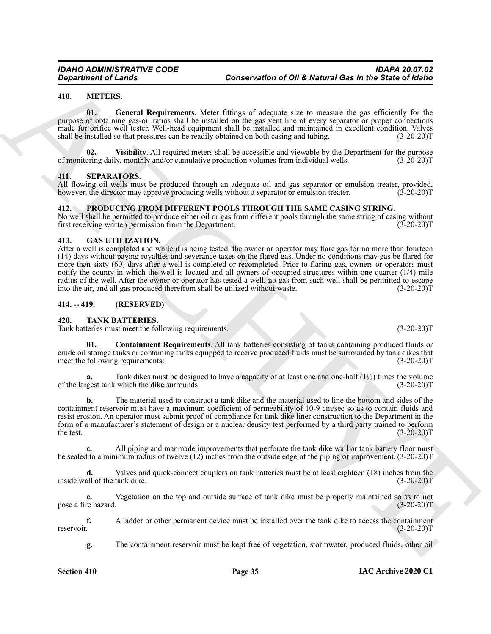#### <span id="page-34-7"></span><span id="page-34-0"></span>**410. METERS.**

<span id="page-34-8"></span>**01. General Requirements**. Meter fittings of adequate size to measure the gas efficiently for the purpose of obtaining gas-oil ratios shall be installed on the gas vent line of every separator or proper connections made for orifice well tester. Well-head equipment shall be installed and maintained in excellent condition. Valves shall be installed so that pressures can be readily obtained on both casing and tubing. (3-20-20)T

<span id="page-34-9"></span>**Visibility**. All required meters shall be accessible and viewable by the Department for the purpose ly, monthly and/or cumulative production volumes from individual wells. (3-20-20)<sup>T</sup> of monitoring daily, monthly and/or cumulative production volumes from individual wells.

#### <span id="page-34-11"></span><span id="page-34-1"></span>**411. SEPARATORS.**

All flowing oil wells must be produced through an adequate oil and gas separator or emulsion treater, provided, however, the director may approve producing wells without a separator or emulsion treater. (3-20-20) however, the director may approve producing wells without a separator or emulsion treater.

#### <span id="page-34-10"></span><span id="page-34-2"></span>**412. PRODUCING FROM DIFFERENT POOLS THROUGH THE SAME CASING STRING.**

No well shall be permitted to produce either oil or gas from different pools through the same string of casing without first receiving written permission from the Department. (3-20-20) first receiving written permission from the Department.

#### <span id="page-34-6"></span><span id="page-34-3"></span>**413. GAS UTILIZATION.**

Generation of Lenda<br>
State of the EMS (Sole of Values of OH & Network Ges in the Sixte of Values<br>
The March Control of Control of the Control of the Control of the Control of Control of Control of Control of Control of Co After a well is completed and while it is being tested, the owner or operator may flare gas for no more than fourteen (14) days without paying royalties and severance taxes on the flared gas. Under no conditions may gas be flared for more than sixty (60) days after a well is completed or recompleted. Prior to flaring gas, owners or operators must notify the county in which the well is located and all owners of occupied structures within one-quarter (1/4) mile radius of the well. After the owner or operator has tested a well, no gas from such well shall be permitted to escape into the air, and all gas produced therefrom shall be utilized without waste. (3-20-20)T

#### <span id="page-34-4"></span>**414. -- 419. (RESERVED)**

#### <span id="page-34-12"></span><span id="page-34-5"></span>**420. TANK BATTERIES.**

Tank batteries must meet the following requirements. (3-20-20)T

<span id="page-34-13"></span>**01. Containment Requirements**. All tank batteries consisting of tanks containing produced fluids or crude oil storage tanks or containing tanks equipped to receive produced fluids must be surrounded by tank dikes that meet the following requirements: (3-20-20)T

**a.** Tank dikes must be designed to have a capacity of at least one and one-half  $(1\frac{1}{2})$  times the volume rest tank which the dike surrounds.  $(3-20-20)T$ of the largest tank which the dike surrounds.

**b.** The material used to construct a tank dike and the material used to line the bottom and sides of the containment reservoir must have a maximum coefficient of permeability of 10-9 cm/sec so as to contain fluids and resist erosion. An operator must submit proof of compliance for tank dike liner construction to the Department in the form of a manufacturer's statement of design or a nuclear density test performed by a third party trained to perform the test.  $(3-20-20)T$ 

**c.** All piping and manmade improvements that perforate the tank dike wall or tank battery floor must be sealed to a minimum radius of twelve (12) inches from the outside edge of the piping or improvement. (3-20-20)T

**d.** Valves and quick-connect couplers on tank batteries must be at least eighteen (18) inches from the all of the tank dike.  $(3-20-20)T$ inside wall of the tank dike.

**e.** Vegetation on the top and outside surface of tank dike must be properly maintained so as to not pose a fire hazard. (3-20-20)T

**f.** A ladder or other permanent device must be installed over the tank dike to access the containment reservoir. (3-20-20)<sup>T</sup> reservoir. (3-20-20)T

**g.** The containment reservoir must be kept free of vegetation, stormwater, produced fluids, other oil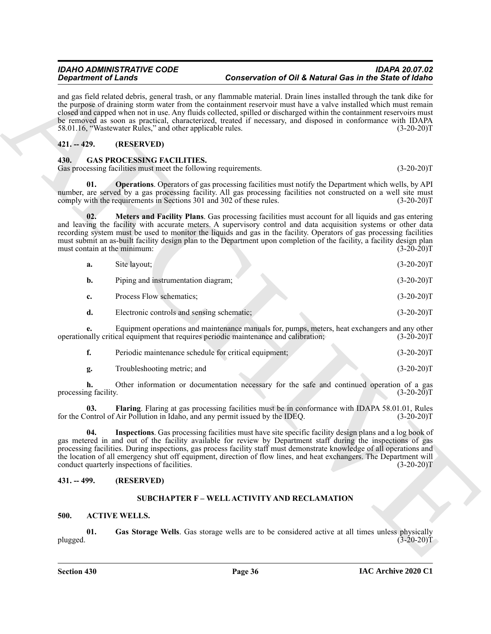# <span id="page-35-0"></span>**421. -- 429. (RESERVED)**

# <span id="page-35-11"></span><span id="page-35-10"></span><span id="page-35-7"></span><span id="page-35-1"></span>**430. GAS PROCESSING FACILITIES.**

| <b>Department of Lands</b>          |                                                                                                      |                                                                                      | Conservation of Oil & Natural Gas in the State of Idaho                                                                                                                                                                                                                                                                                                                                                                                                                                              |
|-------------------------------------|------------------------------------------------------------------------------------------------------|--------------------------------------------------------------------------------------|------------------------------------------------------------------------------------------------------------------------------------------------------------------------------------------------------------------------------------------------------------------------------------------------------------------------------------------------------------------------------------------------------------------------------------------------------------------------------------------------------|
|                                     | 58.01.16, "Wastewater Rules," and other applicable rules.                                            |                                                                                      | and gas field related debris, general trash, or any flammable material. Drain lines installed through the tank dike for<br>the purpose of draining storm water from the containment reservoir must have a valve installed which must remain<br>closed and capped when not in use. Any fluids collected, spilled or discharged within the containment reservoirs must<br>be removed as soon as practical, characterized, treated if necessary, and disposed in conformance with IDAPA<br>$(3-20-20)T$ |
| $421. - 429.$                       | (RESERVED)                                                                                           |                                                                                      |                                                                                                                                                                                                                                                                                                                                                                                                                                                                                                      |
| 430.                                | <b>GAS PROCESSING FACILITIES.</b><br>Gas processing facilities must meet the following requirements. |                                                                                      | $(3-20-20)T$                                                                                                                                                                                                                                                                                                                                                                                                                                                                                         |
| 01.                                 | comply with the requirements in Sections 301 and 302 of these rules.                                 |                                                                                      | <b>Operations</b> . Operators of gas processing facilities must notify the Department which wells, by API<br>number, are served by a gas processing facility. All gas processing facilities not constructed on a well site must<br>$(3-20-20)T$                                                                                                                                                                                                                                                      |
| 02.<br>must contain at the minimum: |                                                                                                      |                                                                                      | Meters and Facility Plans. Gas processing facilities must account for all liquids and gas entering<br>and leaving the facility with accurate meters. A supervisory control and data acquisition systems or other data<br>recording system must be used to monitor the liquids and gas in the facility. Operators of gas processing facilities<br>must submit an as-built facility design plan to the Department upon completion of the facility, a facility design plan<br>$(3-20-20)T$              |
| a.                                  | Site layout;                                                                                         |                                                                                      | $(3-20-20)T$                                                                                                                                                                                                                                                                                                                                                                                                                                                                                         |
| $\mathbf{b}$ .                      | Piping and instrumentation diagram;                                                                  |                                                                                      | $(3-20-20)T$                                                                                                                                                                                                                                                                                                                                                                                                                                                                                         |
| c.                                  | Process Flow schematics;                                                                             |                                                                                      | $(3-20-20)T$                                                                                                                                                                                                                                                                                                                                                                                                                                                                                         |
| d.                                  | Electronic controls and sensing schematic;                                                           |                                                                                      | $(3-20-20)T$                                                                                                                                                                                                                                                                                                                                                                                                                                                                                         |
| е.                                  |                                                                                                      | operationally critical equipment that requires periodic maintenance and calibration; | Equipment operations and maintenance manuals for, pumps, meters, heat exchangers and any other<br>$(3-20-20)T$                                                                                                                                                                                                                                                                                                                                                                                       |
| f.                                  | Periodic maintenance schedule for critical equipment;                                                |                                                                                      | $(3-20-20)T$                                                                                                                                                                                                                                                                                                                                                                                                                                                                                         |
| g.                                  | Troubleshooting metric; and                                                                          |                                                                                      | $(3-20-20)T$                                                                                                                                                                                                                                                                                                                                                                                                                                                                                         |
| h.<br>processing facility.          |                                                                                                      |                                                                                      | Other information or documentation necessary for the safe and continued operation of a gas<br>$(3-20-20)T$                                                                                                                                                                                                                                                                                                                                                                                           |
| 03.                                 | for the Control of Air Pollution in Idaho, and any permit issued by the IDEQ.                        |                                                                                      | Flaring. Flaring at gas processing facilities must be in conformance with IDAPA 58.01.01, Rules<br>$(3-20-20)T$                                                                                                                                                                                                                                                                                                                                                                                      |
|                                     | conduct quarterly inspections of facilities.                                                         |                                                                                      | Inspections. Gas processing facilities must have site specific facility design plans and a log book of<br>gas metered in and out of the facility available for review by Department staff during the inspections of gas<br>processing facilities. During inspections, gas process facility staff must demonstrate knowledge of all operations and<br>the location of all emergency shut off equipment, direction of flow lines, and heat exchangers. The Department will<br>$(3-20-20)T$             |
| $431. - 499.$                       | (RESERVED)                                                                                           |                                                                                      |                                                                                                                                                                                                                                                                                                                                                                                                                                                                                                      |
|                                     |                                                                                                      | <b>SUBCHAPTER F - WELL ACTIVITY AND RECLAMATION</b>                                  |                                                                                                                                                                                                                                                                                                                                                                                                                                                                                                      |
| 500.<br><b>ACTIVE WELLS.</b>        |                                                                                                      |                                                                                      |                                                                                                                                                                                                                                                                                                                                                                                                                                                                                                      |
| 01.<br>plugged.                     |                                                                                                      |                                                                                      | Gas Storage Wells. Gas storage wells are to be considered active at all times unless physically<br>$(3-20-20)T$                                                                                                                                                                                                                                                                                                                                                                                      |

<span id="page-35-8"></span>

| Periodic maintenance schedule for critical equipment; | $(3-20-20)T$ |
|-------------------------------------------------------|--------------|
| Troubleshooting metric; and                           | $(3-20-20)T$ |

# <span id="page-35-3"></span><span id="page-35-2"></span>**431. -- 499. (RESERVED)**

# <span id="page-35-12"></span><span id="page-35-9"></span><span id="page-35-6"></span>**SUBCHAPTER F – WELL ACTIVITY AND RECLAMATION**

# <span id="page-35-5"></span><span id="page-35-4"></span>**500. ACTIVE WELLS.**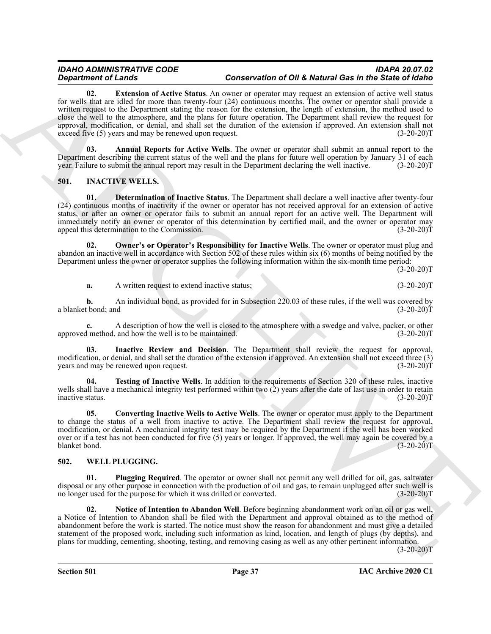*Constraint* of *Characteric Characteric States.* Constraint of *CHARCH* Characteric Characteric Characteric States and Theoretic Characteric Characteric Characteric Characteric Characteric Characteric Characteric Chara **02. Extension of Active Status**. An owner or operator may request an extension of active well status for wells that are idled for more than twenty-four (24) continuous months. The owner or operator shall provide a written request to the Department stating the reason for the extension, the length of extension, the method used to close the well to the atmosphere, and the plans for future operation. The Department shall review the request for approval, modification, or denial, and shall set the duration of the extension if approved. An extension shall not exceed five (5) years and may be renewed upon request. (3-20-20) exceed five (5) years and may be renewed upon request.

<span id="page-36-3"></span><span id="page-36-2"></span>**03. Annual Reports for Active Wells**. The owner or operator shall submit an annual report to the Department describing the current status of the well and the plans for future well operation by January 31 of each year. Failure to submit the annual report may result in the Department declaring the well inactive. (3-20-2 year. Failure to submit the annual report may result in the Department declaring the well inactive.

## <span id="page-36-4"></span><span id="page-36-0"></span>**501. INACTIVE WELLS.**

<span id="page-36-6"></span>**01. Determination of Inactive Status**. The Department shall declare a well inactive after twenty-four (24) continuous months of inactivity if the owner or operator has not received approval for an extension of active status, or after an owner or operator fails to submit an annual report for an active well. The Department will immediately notify an owner or operator of this determination by certified mail, and the owner or operator may appeal this determination to the Commission. (3-20-20)T

**02. Owner's or Operator's Responsibility for Inactive Wells**. The owner or operator must plug and abandon an inactive well in accordance with Section 502 of these rules within six (6) months of being notified by the Department unless the owner or operator supplies the following information within the six-month time period:

 $(3-20-20)T$ 

<span id="page-36-8"></span>**a.** A written request to extend inactive status; (3-20-20)T

**b.** An individual bond, as provided for in Subsection 220.03 of these rules, if the well was covered by t bond; and  $(3-20-20)T$ a blanket bond; and

**c.** A description of how the well is closed to the atmosphere with a swedge and valve, packer, or other if method, and how the well is to be maintained. (3-20-20) approved method, and how the well is to be maintained.

<span id="page-36-7"></span>**03. Inactive Review and Decision**. The Department shall review the request for approval, modification, or denial, and shall set the duration of the extension if approved. An extension shall not exceed three (3) years and may be renewed upon request. (3-20-20) years and may be renewed upon request.

<span id="page-36-9"></span>**04. Testing of Inactive Wells**. In addition to the requirements of Section 320 of these rules, inactive wells shall have a mechanical integrity test performed within two (2) years after the date of last use in order to retain inactive status. (3-20-20) inactive status.

<span id="page-36-5"></span>**05. Converting Inactive Wells to Active Wells**. The owner or operator must apply to the Department to change the status of a well from inactive to active. The Department shall review the request for approval, modification, or denial. A mechanical integrity test may be required by the Department if the well has been worked over or if a test has not been conducted for five (5) years or longer. If approved, the well may again be covered by a blanket bond. (3-20-20) blanket bond.

#### <span id="page-36-10"></span><span id="page-36-1"></span>**502. WELL PLUGGING.**

<span id="page-36-12"></span>**01. Plugging Required**. The operator or owner shall not permit any well drilled for oil, gas, saltwater disposal or any other purpose in connection with the production of oil and gas, to remain unplugged after such well is no longer used for the purpose for which it was drilled or converted. (3-20-20)T

<span id="page-36-11"></span>**02. Notice of Intention to Abandon Well**. Before beginning abandonment work on an oil or gas well, a Notice of Intention to Abandon shall be filed with the Department and approval obtained as to the method of abandonment before the work is started. The notice must show the reason for abandonment and must give a detailed statement of the proposed work, including such information as kind, location, and length of plugs (by depths), and plans for mudding, cementing, shooting, testing, and removing casing as well as any other pertinent information.

 $(3-20-20)T$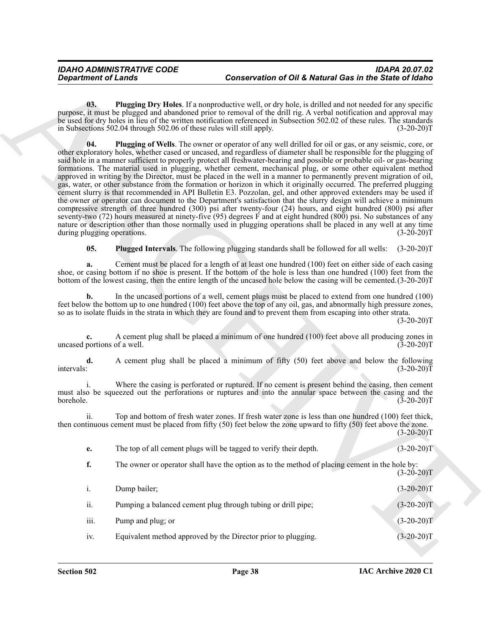<span id="page-37-2"></span><span id="page-37-1"></span>**03. Plugging Dry Holes**. If a nonproductive well, or dry hole, is drilled and not needed for any specific purpose, it must be plugged and abandoned prior to removal of the drill rig. A verbal notification and approval may be used for dry holes in lieu of the written notification referenced in Subsection 502.02 of these rules. The standards in Subsections 502.04 through 502.06 of these rules will still apply. (3-20-20)T

Greaterinos of Lands<br>
Conservation of OH & Metamville actions the Columbus Conservation of OH & Metamville action in the Side of Volume<br>
10. The particular conservation of the Side Columbus Conservation of the Side Columb **04. Plugging of Wells**. The owner or operator of any well drilled for oil or gas, or any seismic, core, or other exploratory holes, whether cased or uncased, and regardless of diameter shall be responsible for the plugging of said hole in a manner sufficient to properly protect all freshwater-bearing and possible or probable oil- or gas-bearing formations. The material used in plugging, whether cement, mechanical plug, or some other equivalent method approved in writing by the Director, must be placed in the well in a manner to permanently prevent migration of oil, gas, water, or other substance from the formation or horizon in which it originally occurred. The preferred plugging cement slurry is that recommended in API Bulletin E3. Pozzolan, gel, and other approved extenders may be used if the owner or operator can document to the Department's satisfaction that the slurry design will achieve a minimum compressive strength of three hundred (300) psi after twenty-four (24) hours, and eight hundred (800) psi after seventy-two (72) hours measured at ninety-five (95) degrees F and at eight hundred (800) psi. No substances of any nature or description other than those normally used in plugging operations shall be placed in any well at any time during plugging operations. (3-20-20) during plugging operations.

<span id="page-37-0"></span>**05. Plugged Intervals**. The following plugging standards shall be followed for all wells: (3-20-20)T

**a.** Cement must be placed for a length of at least one hundred (100) feet on either side of each casing shoe, or casing bottom if no shoe is present. If the bottom of the hole is less than one hundred (100) feet from the bottom of the lowest casing, then the entire length of the uncased hole below the casing will be cemented.(3-20-20)T

**b.** In the uncased portions of a well, cement plugs must be placed to extend from one hundred (100) feet below the bottom up to one hundred (100) feet above the top of any oil, gas, and abnormally high pressure zones, so as to isolate fluids in the strata in which they are found and to prevent them from escaping into other strata.

 $(3-20-20)T$ 

**c.** A cement plug shall be placed a minimum of one hundred (100) feet above all producing zones in portions of a well. (3-20-20) uncased portions of a well.

**d.** A cement plug shall be placed a minimum of fifty (50) feet above and below the following intervals: (3-20-20)  $intervals:$  (3-20-20)T

i. Where the casing is perforated or ruptured. If no cement is present behind the casing, then cement must also be squeezed out the perforations or ruptures and into the annular space between the casing and the borehole. (3-20-20) borehole. (3-20-20)T

ii. Top and bottom of fresh water zones. If fresh water zone is less than one hundred (100) feet thick, then continuous cement must be placed from fifty (50) feet below the zone upward to fifty (50) feet above the zone.  $(3-20-20)T$ 

**e.** The top of all cement plugs will be tagged to verify their depth.  $(3-20-20)T$ 

**f.** The owner or operator shall have the option as to the method of placing cement in the hole by:

|              |                                                               | $(3-20-20)T$ |
|--------------|---------------------------------------------------------------|--------------|
| $\mathbf{1}$ | Dump bailer;                                                  | $(3-20-20)T$ |
| ii.          | Pumping a balanced cement plug through tubing or drill pipe;  | $(3-20-20)T$ |
| iii.         | Pump and plug; or                                             | $(3-20-20)T$ |
| 1V.          | Equivalent method approved by the Director prior to plugging. | $(3-20-20)T$ |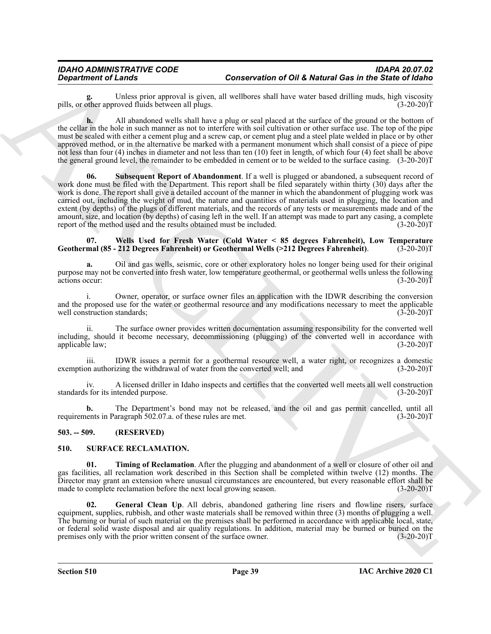Unless prior approval is given, all wellbores shall have water based drilling muds, high viscosity roved fluids between all plugs. pills, or other approved fluids between all plugs.

<span id="page-38-5"></span>**h.** All abandoned wells shall have a plug or seal placed at the surface of the ground or the bottom of the cellar in the hole in such manner as not to interfere with soil cultivation or other surface use. The top of the pipe must be sealed with either a cement plug and a screw cap, or cement plug and a steel plate welded in place or by other approved method, or in the alternative be marked with a permanent monument which shall consist of a piece of pipe not less than four (4) inches in diameter and not less than ten (10) feet in length, of which four (4) feet shall be above the general ground level, the remainder to be embedded in cement or to be welded to the surface casing. (3-20-20)T

*Department of Langelings Contents in given all because the numeric line and the langeling method distance in the spin spin and the spin spin and the spin spin and the spin spin and the spin spin and the spin spin and th* **06. Subsequent Report of Abandonment**. If a well is plugged or abandoned, a subsequent record of work done must be filed with the Department. This report shall be filed separately within thirty (30) days after the work is done. The report shall give a detailed account of the manner in which the abandonment of plugging work was carried out, including the weight of mud, the nature and quantities of materials used in plugging, the location and extent (by depths) of the plugs of different materials, and the records of any tests or measurements made and of the amount, size, and location (by depths) of casing left in the well. If an attempt was made to part any casing, a complete report of the method used and the results obtained must be included. (3-20-20) report of the method used and the results obtained must be included.

#### <span id="page-38-6"></span>**07. Wells Used for Fresh Water (Cold Water < 85 degrees Fahrenheit), Low Temperature** Geothermal (85 - 212 Degrees Fahrenheit) or Geothermal Wells (>212 Degrees Fahrenheit).

**a.** Oil and gas wells, seismic, core or other exploratory holes no longer being used for their original purpose may not be converted into fresh water, low temperature geothermal, or geothermal wells unless the following actions occur:

i. Owner, operator, or surface owner files an application with the IDWR describing the conversion and the proposed use for the water or geothermal resource and any modifications necessary to meet the applicable well construction standards; (3-20-20) well construction standards;

ii. The surface owner provides written documentation assuming responsibility for the converted well including, should it become necessary, decommissioning (plugging) of the converted well in accordance with applicable law; (3-20-20) applicable law;

iii. IDWR issues a permit for a geothermal resource well, a water right, or recognizes a domestic on authorizing the withdrawal of water from the converted well; and (3-20-20) exemption authorizing the withdrawal of water from the converted well; and

iv. A licensed driller in Idaho inspects and certifies that the converted well meets all well construction standards for its intended purpose. (3-20-20)T

**b.** The Department's bond may not be released, and the oil and gas permit cancelled, until all lents in Paragraph 502.07.a. of these rules are met. (3-20-20) requirements in Paragraph 502.07.a. of these rules are met.

#### <span id="page-38-0"></span>**503. -- 509. (RESERVED)**

#### <span id="page-38-4"></span><span id="page-38-2"></span><span id="page-38-1"></span>**510. SURFACE RECLAMATION.**

**01. Timing of Reclamation**. After the plugging and abandonment of a well or closure of other oil and gas facilities, all reclamation work described in this Section shall be completed within twelve (12) months. The Director may grant an extension where unusual circumstances are encountered, but every reasonable effort shall be made to complete reclamation before the next local growing season. (3-20-20)T

<span id="page-38-3"></span>**02. General Clean Up**. All debris, abandoned gathering line risers and flowline risers, surface equipment, supplies, rubbish, and other waste materials shall be removed within three (3) months of plugging a well. The burning or burial of such material on the premises shall be performed in accordance with applicable local, state, or federal solid waste disposal and air quality regulations. In addition, material may be burned or buried on the premises only with the prior written consent of the surface owner. (3-20-20) premises only with the prior written consent of the surface owner.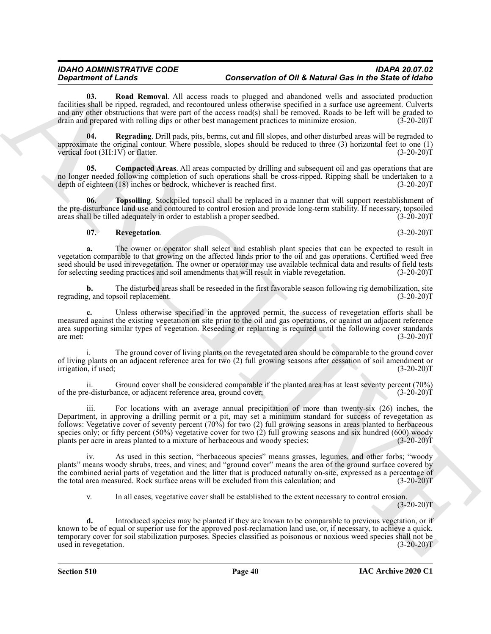<span id="page-39-3"></span>**03. Road Removal**. All access roads to plugged and abandoned wells and associated production facilities shall be ripped, regraded, and recontoured unless otherwise specified in a surface use agreement. Culverts and any other obstructions that were part of the access road(s) shall be removed. Roads to be left will be graded to drain and prepared with rolling dips or other best management practices to minimize erosion. (3-20-20)T

<span id="page-39-1"></span>**04. Regrading**. Drill pads, pits, berms, cut and fill slopes, and other disturbed areas will be regraded to approximate the original contour. Where possible, slopes should be reduced to three (3) horizontal feet to one (1) vertical foot  $(3H:1V)$  or flatter. (3-20-20)T

<span id="page-39-0"></span>**05. Compacted Areas**. All areas compacted by drilling and subsequent oil and gas operations that are no longer needed following completion of such operations shall be cross-ripped. Ripping shall be undertaken to a depth of eighteen (18) inches or bedrock, whichever is reached first. (3-20-20) depth of eighteen (18) inches or bedrock, whichever is reached first.

**06. Topsoiling**. Stockpiled topsoil shall be replaced in a manner that will support reestablishment of the pre-disturbance land use and contoured to control erosion and provide long-term stability. If necessary, topsoiled areas shall be tilled adequately in order to establish a proper seedbed. (3-20-20) areas shall be tilled adequately in order to establish a proper seedbed.

#### <span id="page-39-4"></span><span id="page-39-2"></span>**07. Revegetation**. (3-20-20)T

**a.** The owner or operator shall select and establish plant species that can be expected to result in vegetation comparable to that growing on the affected lands prior to the oil and gas operations. Certified weed free seed should be used in revegetation. The owner or operator may use available technical data and results of field tests for selecting seeding practices and soil amendments that will result in viable revegetation. (3-20-20)T for selecting seeding practices and soil amendments that will result in viable revegetation.

**b.** The disturbed areas shall be reseeded in the first favorable season following rig demobilization, site g, and topsoil replacement. (3-20-20) regrading, and topsoil replacement.

**c.** Unless otherwise specified in the approved permit, the success of revegetation efforts shall be measured against the existing vegetation on site prior to the oil and gas operations, or against an adjacent reference area supporting similar types of vegetation. Reseeding or replanting is required until the following cover standards are met: (3-20-20) are met:  $(3-20-20)T$ 

i. The ground cover of living plants on the revegetated area should be comparable to the ground cover of living plants on an adjacent reference area for two (2) full growing seasons after cessation of soil amendment or irrigation, if used; (3-20-20) irrigation, if used;

ii. Ground cover shall be considered comparable if the planted area has at least seventy percent (70%) of the pre-disturbance, or adjacent reference area, ground cover; (3-20-20)T

**Considered Construction Conservation CONS Conservation CONS Conservation CONS Conservation Conservation Conservation Conservation Conservation Conservation Conservation Conservation Conserva** iii. For locations with an average annual precipitation of more than twenty-six (26) inches, the Department, in approving a drilling permit or a pit, may set a minimum standard for success of revegetation as follows: Vegetative cover of seventy percent (70%) for two (2) full growing seasons in areas planted to herbaceous species only; or fifty percent (50%) vegetative cover for two (2) full growing seasons and six hundred (600) woody<br>plants per acre in areas planted to a mixture of herbaceous and woody species; (3-20-20) plants per acre in areas planted to a mixture of herbaceous and woody species;

iv. As used in this section, "herbaceous species" means grasses, legumes, and other forbs; "woody plants" means woody shrubs, trees, and vines; and "ground cover" means the area of the ground surface covered by the combined aerial parts of vegetation and the litter that is produced naturally on-site, expressed as a percentage of the total area measured. Rock surface areas will be excluded from this calculation; and (3-20-20)T

v. In all cases, vegetative cover shall be established to the extent necessary to control erosion.

 $(3-20-20)T$ 

**d.** Introduced species may be planted if they are known to be comparable to previous vegetation, or if known to be of equal or superior use for the approved post-reclamation land use, or, if necessary, to achieve a quick, temporary cover for soil stabilization purposes. Species classified as poisonous or noxious weed species shall not be used in revegetation. (3-20-20) used in revegetation.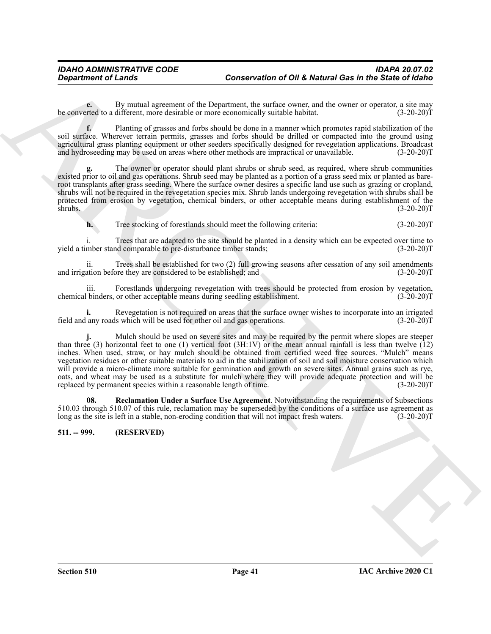**e.** By mutual agreement of the Department, the surface owner, and the owner or operator, a site may reted to a different, more desirable or more economically suitable habitat. (3-20-20) be converted to a different, more desirable or more economically suitable habitat.

**f.** Planting of grasses and forbs should be done in a manner which promotes rapid stabilization of the soil surface. Wherever terrain permits, grasses and forbs should be drilled or compacted into the ground using agricultural grass planting equipment or other seeders specifically designed for revegetation applications. Broadcast and hydroseeding may be used on areas where other methods are impractical or unavailable. (3-20-20)T

**g.** The owner or operator should plant shrubs or shrub seed, as required, where shrub communities existed prior to oil and gas operations. Shrub seed may be planted as a portion of a grass seed mix or planted as bareroot transplants after grass seeding. Where the surface owner desires a specific land use such as grazing or cropland, shrubs will not be required in the revegetation species mix. Shrub lands undergoing revegetation with shrubs shall be protected from erosion by vegetation, chemical binders, or other acceptable means during establishment of the shrubs. (3-20-20)T

**h.** Tree stocking of forestlands should meet the following criteria:  $(3-20-20)$ T

Trees that are adapted to the site should be planted in a density which can be expected over time to<br>I. (3-20-20) yield a timber stand comparable to pre-disturbance timber stands;

ii. Trees shall be established for two (2) full growing seasons after cessation of any soil amendments ation before they are considered to be established; and (3-20-20) and irrigation before they are considered to be established; and

iii. Forestlands undergoing revegetation with trees should be protected from erosion by vegetation, binders, or other acceptable means during seedling establishment. (3-20-20) chemical binders, or other acceptable means during seedling establishment.

**i.** Revegetation is not required on areas that the surface owner wishes to incorporate into an irrigated any roads which will be used for other oil and gas operations. (3-20-20) field and any roads which will be used for other oil and gas operations.

Conservation of Of A Metropolitical Conservation of Of A Metropolitical Conservation of Of A Metropolitical Conservation of the same of the same of the same of the same of the same of the same of the same of the same of t **j.** Mulch should be used on severe sites and may be required by the permit where slopes are steeper than three (3) horizontal feet to one (1) vertical foot (3H:1V) or the mean annual rainfall is less than twelve (12) inches. When used, straw, or hay mulch should be obtained from certified weed free sources. "Mulch" means vegetation residues or other suitable materials to aid in the stabilization of soil and soil moisture conservation which will provide a micro-climate more suitable for germination and growth on severe sites. Annual grains such as rye, oats, and wheat may be used as a substitute for mulch where they will provide adequate protection and will be replaced by permanent species within a reasonable length of time. (3-20-20)T

<span id="page-40-1"></span>**08. Reclamation Under a Surface Use Agreement**. Notwithstanding the requirements of Subsections 510.03 through 510.07 of this rule, reclamation may be superseded by the conditions of a surface use agreement as long as the site is left in a stable, non-eroding condition that will not impact fresh waters. (3-20-20)T

#### <span id="page-40-0"></span>**511. -- 999. (RESERVED)**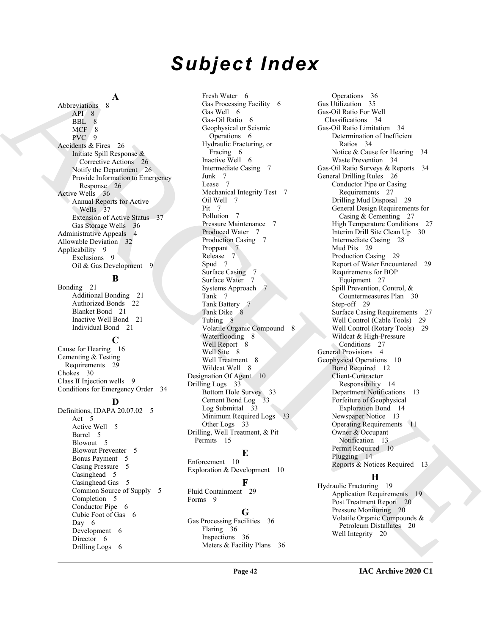# *Subject Index*

**A**

Abbreviations 8 API 8 BBL 8 MCF 8 PVC 9 Accidents & Fires 26 Initiate Spill Response & Corrective Actions 26 Notify the Department 26 Provide Information to Emergency Response 26 Active Wells 36 Annual Reports for Active Wells 37 Extension of Active Status 37 Gas Storage Wells 36 Administrative Appeals 4 Allowable Deviation 32 Applicability 9 Exclusions 9 Oil & Gas Development 9

# **B**

Bonding 21 Additional Bonding 21 Authorized Bonds 22 Blanket Bond 21 Inactive Well Bond 21 Individual Bond 21

**C**

Cause for Hearing 16 Cementing & Testing Requirements 29 Chokes 30 Class II Injection wells 9 Conditions for Emergency Order 34

#### **D**

Definitions, IDAPA 20.07.02 5 Act 5 Active Well 5 Barrel 5 Blowout 5 Blowout Preventer 5 Bonus Payment 5 Casing Pressure 5 Casinghead 5 Casinghead Gas 5 Common Source of Supply 5 Completion 5 Conductor Pipe 6 Cubic Foot of Gas 6 Day 6 Development 6 Director 6 Drilling Logs 6

Fresh Water 6 Gas Processing Facility 6 Gas Well 6 Gas-Oil Ratio 6 Geophysical or Seismic Operations 6 Hydraulic Fracturing, or Fracing 6 Inactive Well 6 Intermediate Casing 7 Junk 7 Lease 7 Mechanical Integrity Test 7 Oil Well 7 Pit 7 Pollution 7 Pressure Maintenance 7 Produced Water 7 Production Casing 7 Proppant 7 Release 7 Spud 7 Surface Casing 7 Surface Water 7 Systems Approach 7 Tank 7 Tank Battery 7 Tank Dike 8 Tubing 8 Volatile Organic Compound 8 Waterflooding 8 Well Report 8 Well Site 8 Well Treatment 8 Wildcat Well 8 Designation Of Agent 10 Drilling Logs 33 Bottom Hole Survey 33 Cement Bond Log 33 Log Submittal 33 Minimum Required Logs 33 Other Logs 33 Drilling, Well Treatment, & Pit Permits 15

# **E**

Enforcement 10 Exploration & Development 10

#### **F**

Fluid Containment 29 Forms<sub>9</sub>

#### **G**

Gas Processing Facilities 36 Flaring 36 Inspections 36 Meters & Facility Plans 36

[AR](#page-25-8)[C](#page-6-6)[H](#page-6-14)[I](#page-13-0)T[E](#page-19-2)CTURE AND MANUFACTURE (SEE CONTINUES AND CONTINUES ASSOCIATES) (SEE CONTINUES AND ARCHITECTURE SEE CONTINUES AND ARCHITECTURE SEE CONTINUES AND ARCHITECTURE SEE CONTINUES AND ARCHITECTURE SEE CONTINUES AND ARCHITEC Operations 36 Gas Utilization 35 Gas-Oil Ratio For Well Classifications 34 Gas-Oil Ratio Limitation 34 Determination of Inefficient Ratios 34 Notice & Cause for Hearing 34 Waste Prevention 34 Gas-Oil Ratio Surveys & Reports 34 General Drilling Rules 26 Conductor Pipe or Casing Requirements 27 Drilling Mud Disposal 29 General Design Requirements for Casing & Cementing 27 High Temperature Conditions 27 Interim Drill Site Clean Up 30 Intermediate Casing 28 Mud Pits 29 Production Casing 29 Report of Water Encountered 29 Requirements for BOP Equipment 27 Spill Prevention, Control, & Countermeasures Plan 30 Step-off 29 Surface Casing Requirements 27 Well Control (Cable Tools) 29 Well Control (Rotary Tools) 29 Wildcat & High-Pressure Conditions 27 General Provisions 4 Geophysical Operations 10 Bond Required 12 Client-Contractor Responsibility 14 Department Notifications 13 Forfeiture of Geophysical Exploration Bond 14 Newspaper Notice 13 Operating Requirements 11 Owner & Occupant Notification 13 Permit Required 10 Plugging 14 Reports & Notices Required 13

# **H**

Hydraulic Fracturing 19 Application Requirements 19 Post Treatment Report 20 Pressure Monitoring 20 Volatile Organic Compounds & Petroleum Distallates 20 Well Integrity 20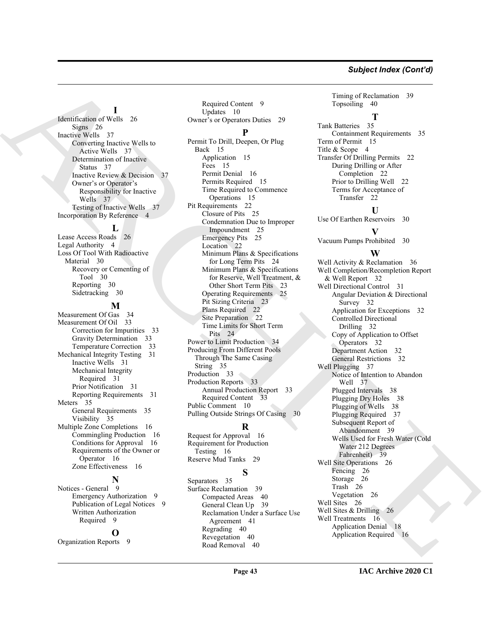#### *Subject Index (Cont'd)*

# **I**

Identification of Wells 26 Signs 26 Inactive Wells 37 Converting Inactive Wells to Active Wells 37 Determination of Inactive Status 37 Inactive Review & Decision 37 Owner's or Operator's Responsibility for Inactive Wells 37 Testing of Inactive Wells 37 Incorporation By Reference 4

**L**

Lease Access Roads 26 Legal Authority 4 Loss Of Tool With Radioactive Material 30 Recovery or Cementing of Tool 30 Reporting 30 Sidetracking 30

#### **M**

Measurement Of Gas 34 Measurement Of Oil 33 Correction for Impurities 33 Gravity Determination 33 Temperature Correction 33 Mechanical Integrity Testing 31 Inactive Wells 31 Mechanical Integrity Required 31 Prior Notification 31 Reporting Requirements 31 Meters 35 General Requirements 35 Visibility 35 Multiple Zone Completions 16 Commingling Production 16 Conditions for Approval 16 Requirements of the Owner or Operator 16 Zone Effectiveness 16

#### **N**

Notices - General 9 Emergency Authorization 9 Publication of Legal Notices 9 Written Authorization Required 9

#### **O**

Organization Reports 9

Required Content 9 Updates 10 Owner's or Operators Duties 29 **P**

[AR](#page-36-8)[C](#page-22-0)[HI](#page-34-10)[V](#page-38-5)[E](#page-25-14) Permit To Drill, Deepen, Or Plug Back 15 Application 15 Fees 15 Permit Denial 16 Permits Required 15 Time Required to Commence Operations 15 Pit Requirements 22 Closure of Pits 25 Condemnation Due to Improper Impoundment 25 Emergency Pits 25 Location 22 Minimum Plans & Specifications for Long Term Pits 24 Minimum Plans & Specifications for Reserve, Well Treatment, & Other Short Term Pits 23 Operating Requirements 25 Pit Sizing Criteria 23 Plans Required 22 Site Preparation 22 Time Limits for Short Term Pits 24 Power to Limit Production 34 Producing From Different Pools Through The Same Casing String 35 Production 33 Production Reports 33 Annual Production Report 33 Required Content 33 Public Comment 10 Pulling Outside Strings Of Casing 30

# **R**

Request for Approval 16 Requirement for Production Testing 16 Reserve Mud Tanks 29

# **S**

Separators 35 Surface Reclamation 39 Compacted Areas 40 General Clean Up 39 Reclamation Under a Surface Use Agreement 41 Regrading 40 Revegetation 40 Road Removal 40

Timing of Reclamation 39 Topsoiling 40

**T**

Tank Batteries 35 Containment Requirements 35 Term of Permit 15 Title & Scope 4 Transfer Of Drilling Permits 22 During Drilling or After Completion 22 Prior to Drilling Well 22 Terms for Acceptance of Transfer 22

Use Of Earthen Reservoirs 30

# **V**

**U**

Vacuum Pumps Prohibited 30

## **W**

Well Activity & Reclamation 36 Well Completion/Recompletion Report & Well Report 32 Well Directional Control 31 Angular Deviation & Directional Survey 32 Application for Exceptions 32 Controlled Directional Drilling 32 Copy of Application to Offset Operators 32 Department Action 32 General Restrictions 32 Well Plugging 37 Notice of Intention to Abandon Well 37 Plugged Intervals 38 Plugging Dry Holes 38 Plugging of Wells 38 Plugging Required 37 Subsequent Report of Abandonment 39 Wells Used for Fresh Water (Cold Water 212 Degrees Fahrenheit) 39 Well Site Operations 26 Fencing 26 Storage 26 Trash 26 Vegetation 26 Well Sites 26 Well Sites & Drilling 26 Well Treatments 16 Application Denial 18 Application Required 16